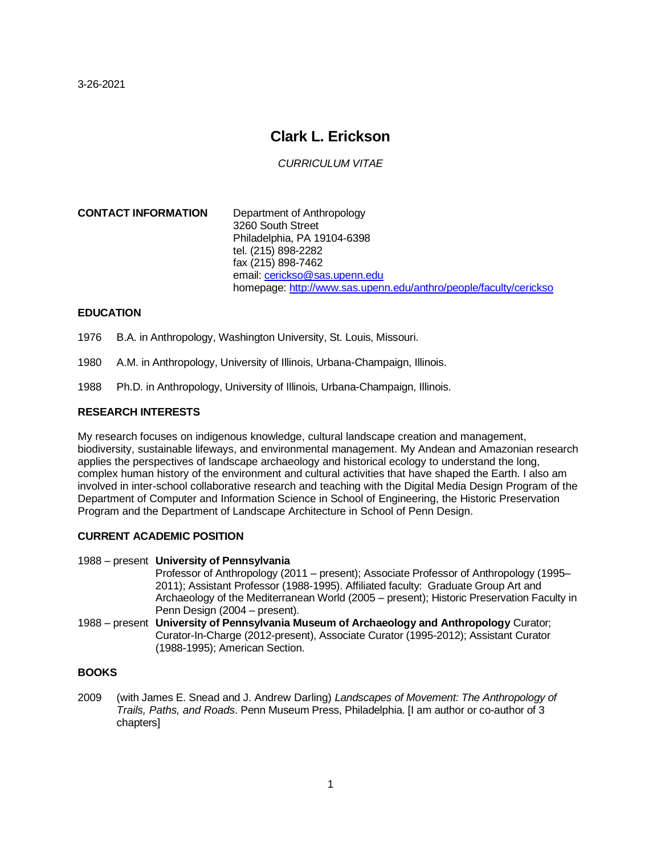3-26-2021

# **Clark L. Erickson**

*CURRICULUM VITAE*

**CONTACT INFORMATION** Department of Anthropology 3260 South Street Philadelphia, PA 19104-6398 tel. (215) 898-2282 fax (215) 898-7462 email[: cerickso@sas.upenn.edu](mailto:cerickso@sas.upenn.edu) homepage:<http://www.sas.upenn.edu/anthro/people/faculty/cerickso>

## **EDUCATION**

1976 B.A. in Anthropology, Washington University, St. Louis, Missouri.

- 1980 A.M. in Anthropology, University of Illinois, Urbana-Champaign, Illinois.
- 1988 Ph.D. in Anthropology, University of Illinois, Urbana-Champaign, Illinois.

## **RESEARCH INTERESTS**

My research focuses on indigenous knowledge, cultural landscape creation and management, biodiversity, sustainable lifeways, and environmental management. My Andean and Amazonian research applies the perspectives of landscape archaeology and historical ecology to understand the long, complex human history of the environment and cultural activities that have shaped the Earth. I also am involved in inter-school collaborative research and teaching with the Digital Media Design Program of the Department of Computer and Information Science in School of Engineering, the Historic Preservation Program and the Department of Landscape Architecture in School of Penn Design.

#### **CURRENT ACADEMIC POSITION**

#### 1988 – present **University of Pennsylvania**

Professor of Anthropology (2011 – present); Associate Professor of Anthropology (1995– 2011); Assistant Professor (1988-1995). Affiliated faculty: Graduate Group Art and Archaeology of the Mediterranean World (2005 – present); Historic Preservation Faculty in Penn Design (2004 – present).

1988 – present **University of Pennsylvania Museum of Archaeology and Anthropology** Curator; Curator-In-Charge (2012-present), Associate Curator (1995-2012); Assistant Curator (1988-1995); American Section.

## **BOOKS**

2009 (with James E. Snead and J. Andrew Darling) *Landscapes of Movement: The Anthropology of Trails, Paths, and Roads*. Penn Museum Press, Philadelphia. [I am author or co-author of 3 chapters]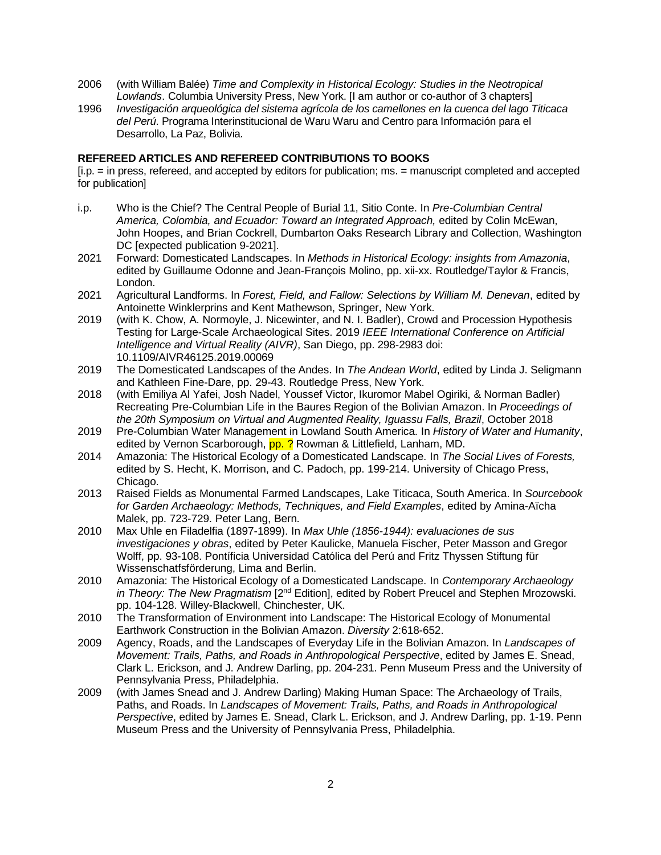- 2006 (with William Balée) *Time and Complexity in Historical Ecology: Studies in the Neotropical Lowlands*. Columbia University Press, New York. [I am author or co-author of 3 chapters]
- 1996 *Investigación arqueológica del sistema agrícola de los camellones en la cuenca del lago Titicaca del Perú*. Programa Interinstitucional de Waru Waru and Centro para Información para el Desarrollo, La Paz, Bolivia.

### **REFEREED ARTICLES AND REFEREED CONTRIBUTIONS TO BOOKS**

[i.p. = in press, refereed, and accepted by editors for publication; ms. = manuscript completed and accepted for publication]

- i.p. Who is the Chief? The Central People of Burial 11, Sitio Conte. In *Pre-Columbian Central America, Colombia, and Ecuador: Toward an Integrated Approach,* edited by Colin McEwan, John Hoopes, and Brian Cockrell, Dumbarton Oaks Research Library and Collection, Washington DC [expected publication 9-2021].
- 2021 Forward: Domesticated Landscapes. In *Methods in Historical Ecology: insights from Amazonia*, edited by Guillaume Odonne and Jean-François Molino, pp. xii-xx. Routledge/Taylor & Francis, London.
- 2021 Agricultural Landforms. In *Forest, Field, and Fallow: Selections by William M. Denevan*, edited by Antoinette Winklerprins and Kent Mathewson, Springer, New York.
- 2019 (with K. Chow, A. Normoyle, J. Nicewinter, and N. I. Badler), Crowd and Procession Hypothesis Testing for Large-Scale Archaeological Sites. 2019 *IEEE International Conference on Artificial Intelligence and Virtual Reality (AIVR)*, San Diego, pp. 298-2983 doi: 10.1109/AIVR46125.2019.00069
- 2019 The Domesticated Landscapes of the Andes. In *The Andean World*, edited by Linda J. Seligmann and Kathleen Fine-Dare, pp. 29-43. Routledge Press, New York.
- 2018 (with Emiliya Al Yafei, Josh Nadel, Youssef Victor, Ikuromor Mabel Ogiriki, & Norman Badler) Recreating Pre-Columbian Life in the Baures Region of the Bolivian Amazon. In *Proceedings of the 20th Symposium on Virtual and Augmented Reality, Iguassu Falls, Brazil*, October 2018
- 2019 Pre-Columbian Water Management in Lowland South America. In *History of Water and Humanity*, edited by Vernon Scarborough, pp. ? Rowman & Littlefield, Lanham, MD.
- 2014 Amazonia: The Historical Ecology of a Domesticated Landscape. In *The Social Lives of Forests,* edited by S. Hecht, K. Morrison, and C. Padoch, pp. 199-214. University of Chicago Press, Chicago.
- 2013 Raised Fields as Monumental Farmed Landscapes, Lake Titicaca, South America. In *Sourcebook for Garden Archaeology: Methods, Techniques, and Field Examples*, edited by Amina-Aïcha Malek, pp. 723-729. Peter Lang, Bern.
- 2010 Max Uhle en Filadelfia (1897-1899). In *Max Uhle (1856-1944): evaluaciones de sus investigaciones y obras*, edited by Peter Kaulicke, Manuela Fischer, Peter Masson and Gregor Wolff, pp. 93-108. Pontíficia Universidad Católica del Perú and Fritz Thyssen Stiftung für Wissenschatfsförderung, Lima and Berlin.
- 2010 Amazonia: The Historical Ecology of a Domesticated Landscape. In *Contemporary Archaeology* in Theory: The New Pragmatism [2<sup>nd</sup> Edition], edited by Robert Preucel and Stephen Mrozowski. pp. 104-128. Willey-Blackwell, Chinchester, UK.
- 2010 The Transformation of Environment into Landscape: The Historical Ecology of Monumental Earthwork Construction in the Bolivian Amazon. *Diversity* 2:618-652.
- 2009 Agency, Roads, and the Landscapes of Everyday Life in the Bolivian Amazon. In *Landscapes of Movement: Trails, Paths, and Roads in Anthropological Perspective*, edited by James E. Snead, Clark L. Erickson, and J. Andrew Darling, pp. 204-231. Penn Museum Press and the University of Pennsylvania Press, Philadelphia.
- 2009 (with James Snead and J. Andrew Darling) Making Human Space: The Archaeology of Trails, Paths, and Roads. In *Landscapes of Movement: Trails, Paths, and Roads in Anthropological Perspective*, edited by James E. Snead, Clark L. Erickson, and J. Andrew Darling, pp. 1-19. Penn Museum Press and the University of Pennsylvania Press, Philadelphia.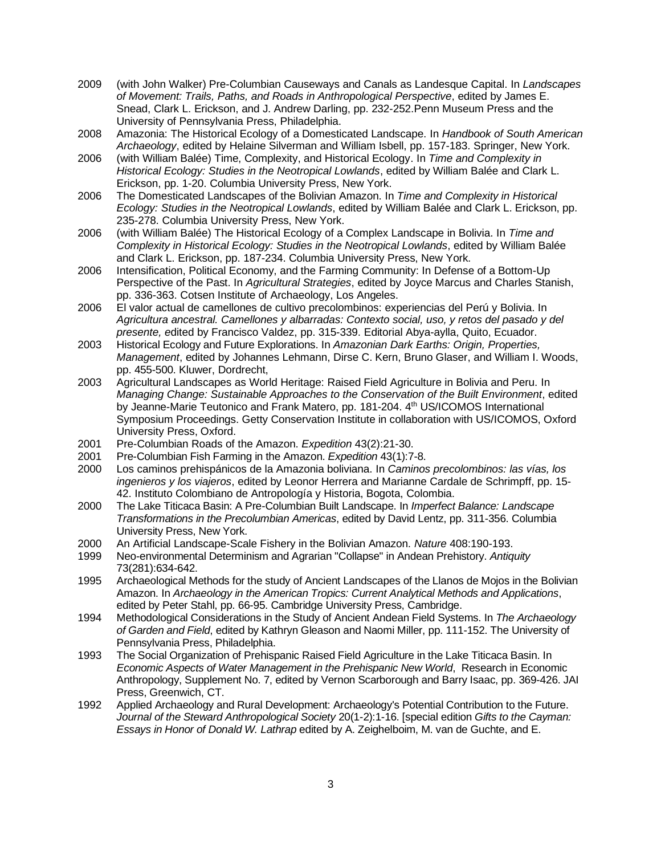- 2009 (with John Walker) Pre-Columbian Causeways and Canals as Landesque Capital. In *Landscapes of Movement: Trails, Paths, and Roads in Anthropological Perspective*, edited by James E. Snead, Clark L. Erickson, and J. Andrew Darling, pp. 232-252.Penn Museum Press and the University of Pennsylvania Press, Philadelphia.
- 2008 Amazonia: The Historical Ecology of a Domesticated Landscape. In *Handbook of South American Archaeology*, edited by Helaine Silverman and William Isbell, pp. 157-183. Springer, New York.
- 2006 (with William Balée) Time, Complexity, and Historical Ecology. In *Time and Complexity in Historical Ecology: Studies in the Neotropical Lowlands*, edited by William Balée and Clark L. Erickson, pp. 1-20. Columbia University Press, New York.
- 2006 The Domesticated Landscapes of the Bolivian Amazon. In *Time and Complexity in Historical Ecology: Studies in the Neotropical Lowlands*, edited by William Balée and Clark L. Erickson, pp. 235-278. Columbia University Press, New York.
- 2006 (with William Balée) The Historical Ecology of a Complex Landscape in Bolivia. In *Time and Complexity in Historical Ecology: Studies in the Neotropical Lowlands*, edited by William Balée and Clark L. Erickson, pp. 187-234. Columbia University Press, New York.
- 2006 Intensification, Political Economy, and the Farming Community: In Defense of a Bottom-Up Perspective of the Past. In *Agricultural Strategies*, edited by Joyce Marcus and Charles Stanish, pp. 336-363. Cotsen Institute of Archaeology, Los Angeles.
- 2006 El valor actual de camellones de cultivo precolombinos: experiencias del Perú y Bolivia. In *Agricultura ancestral. Camellones y albarradas: Contexto social, uso, y retos del pasado y del presente, e*dited by Francisco Valdez, pp. 315-339. Editorial Abya-aylla, Quito, Ecuador.
- 2003 Historical Ecology and Future Explorations. In *Amazonian Dark Earths: Origin, Properties, Management*, edited by Johannes Lehmann, Dirse C. Kern, Bruno Glaser, and William I. Woods, pp. 455-500. Kluwer, Dordrecht,
- 2003 Agricultural Landscapes as World Heritage: Raised Field Agriculture in Bolivia and Peru. In *Managing Change: Sustainable Approaches to the Conservation of the Built Environment*, edited by Jeanne-Marie Teutonico and Frank Matero, pp. 181-204. 4<sup>th</sup> US/ICOMOS International Symposium Proceedings. Getty Conservation Institute in collaboration with US/ICOMOS, Oxford University Press, Oxford.
- 2001 Pre-Columbian Roads of the Amazon. *Expedition* 43(2):21-30.
- 2001 Pre-Columbian Fish Farming in the Amazon. *Expedition* 43(1):7-8.
- 2000 Los caminos prehispánicos de la Amazonia boliviana. In *Caminos precolombinos: las vías, los ingenieros y los viajeros*, edited by Leonor Herrera and Marianne Cardale de Schrimpff, pp. 15- 42. Instituto Colombiano de Antropología y Historia, Bogota, Colombia.
- 2000 The Lake Titicaca Basin: A Pre-Columbian Built Landscape. In *Imperfect Balance: Landscape Transformations in the Precolumbian Americas*, edited by David Lentz, pp. 311-356. Columbia University Press, New York.
- 2000 An Artificial Landscape-Scale Fishery in the Bolivian Amazon. *Nature* 408:190-193.
- 1999 Neo-environmental Determinism and Agrarian "Collapse" in Andean Prehistory. *Antiquity* 73(281):634-642.
- 1995 Archaeological Methods for the study of Ancient Landscapes of the Llanos de Mojos in the Bolivian Amazon. In *Archaeology in the American Tropics: Current Analytical Methods and Applications*, edited by Peter Stahl, pp. 66-95. Cambridge University Press, Cambridge.
- 1994 Methodological Considerations in the Study of Ancient Andean Field Systems. In *The Archaeology of Garden and Field*, edited by Kathryn Gleason and Naomi Miller, pp. 111-152. The University of Pennsylvania Press, Philadelphia.
- 1993 The Social Organization of Prehispanic Raised Field Agriculture in the Lake Titicaca Basin. In *Economic Aspects of Water Management in the Prehispanic New World*, Research in Economic Anthropology, Supplement No. 7, edited by Vernon Scarborough and Barry Isaac, pp. 369-426. JAI Press, Greenwich, CT.
- 1992 Applied Archaeology and Rural Development: Archaeology's Potential Contribution to the Future. *Journal of the Steward Anthropological Society* 20(1-2):1-16. [special edition *Gifts to the Cayman: Essays in Honor of Donald W. Lathrap* edited by A. Zeighelboim, M. van de Guchte, and E.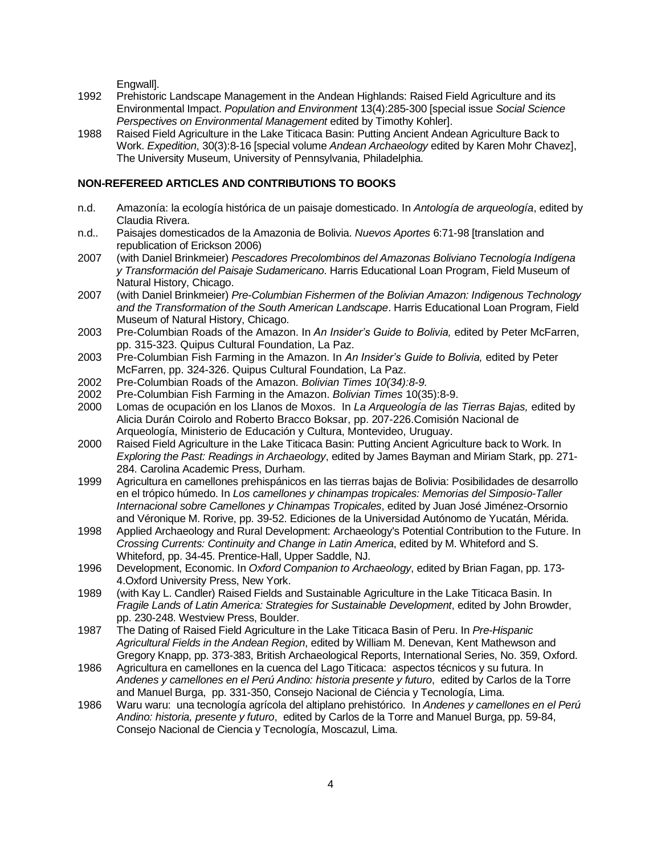Engwall].

- 1992 Prehistoric Landscape Management in the Andean Highlands: Raised Field Agriculture and its Environmental Impact. *Population and Environment* 13(4):285-300 [special issue *Social Science Perspectives on Environmental Management* edited by Timothy Kohler].
- 1988 Raised Field Agriculture in the Lake Titicaca Basin: Putting Ancient Andean Agriculture Back to Work. *Expedition*, 30(3):8-16 [special volume *Andean Archaeology* edited by Karen Mohr Chavez], The University Museum, University of Pennsylvania, Philadelphia.

## **NON-REFEREED ARTICLES AND CONTRIBUTIONS TO BOOKS**

- n.d. Amazonía: la ecología histórica de un paisaje domesticado. In *Antología de arqueología*, edited by Claudia Rivera.
- n.d.. Paisajes domesticados de la Amazonia de Bolivia. *Nuevos Aportes* 6:71-98 [translation and republication of Erickson 2006)
- 2007 (with Daniel Brinkmeier) *Pescadores Precolombinos del Amazonas Boliviano Tecnología Indígena y Transformación del Paisaje Sudamericano*. Harris Educational Loan Program, Field Museum of Natural History, Chicago.
- 2007 (with Daniel Brinkmeier) *Pre-Columbian Fishermen of the Bolivian Amazon: Indigenous Technology and the Transformation of the South American Landscape*. Harris Educational Loan Program, Field Museum of Natural History, Chicago.
- 2003 Pre-Columbian Roads of the Amazon. In *An Insider's Guide to Bolivia,* edited by Peter McFarren, pp. 315-323. Quipus Cultural Foundation, La Paz.
- 2003 Pre-Columbian Fish Farming in the Amazon. In *An Insider's Guide to Bolivia,* edited by Peter McFarren, pp. 324-326. Quipus Cultural Foundation, La Paz.
- 2002 Pre-Columbian Roads of the Amazon. *Bolivian Times 10(34):8-9.*
- 2002 Pre-Columbian Fish Farming in the Amazon. *Bolivian Times* 10(35):8-9.
- 2000 Lomas de ocupación en los Llanos de Moxos. In *La Arqueología de las Tierras Bajas,* edited by Alicia Durán Coirolo and Roberto Bracco Boksar, pp. 207-226.Comisión Nacional de Arqueología, Ministerio de Educación y Cultura, Montevideo, Uruguay.
- 2000 Raised Field Agriculture in the Lake Titicaca Basin: Putting Ancient Agriculture back to Work. In *Exploring the Past: Readings in Archaeology*, edited by James Bayman and Miriam Stark, pp. 271- 284. Carolina Academic Press, Durham.
- 1999 Agricultura en camellones prehispánicos en las tierras bajas de Bolivia: Posibilidades de desarrollo en el trópico húmedo. In *Los camellones y chinampas tropicales: Memorias del Simposio-Taller Internacional sobre Camellones y Chinampas Tropicales*, edited by Juan José Jiménez-Orsornio and Véronique M. Rorive, pp. 39-52. Ediciones de la Universidad Autónomo de Yucatán, Mérida.
- 1998 Applied Archaeology and Rural Development: Archaeology's Potential Contribution to the Future. In *Crossing Currents: Continuity and Change in Latin America*, edited by M. Whiteford and S. Whiteford, pp. 34-45. Prentice-Hall, Upper Saddle, NJ.
- 1996 Development, Economic. In *Oxford Companion to Archaeology*, edited by Brian Fagan, pp. 173- 4.Oxford University Press, New York.
- 1989 (with Kay L. Candler) Raised Fields and Sustainable Agriculture in the Lake Titicaca Basin. In *Fragile Lands of Latin America: Strategies for Sustainable Development*, edited by John Browder, pp. 230-248. Westview Press, Boulder.
- 1987 The Dating of Raised Field Agriculture in the Lake Titicaca Basin of Peru. In *Pre-Hispanic Agricultural Fields in the Andean Region*, edited by William M. Denevan, Kent Mathewson and Gregory Knapp, pp. 373-383, British Archaeological Reports, International Series, No. 359, Oxford.
- 1986 Agricultura en camellones en la cuenca del Lago Titicaca: aspectos técnicos y su futura. In *Andenes y camellones en el Perú Andino: historia presente y futuro*, edited by Carlos de la Torre and Manuel Burga, pp. 331-350, Consejo Nacional de Ciéncia y Tecnología, Lima.
- 1986 Waru waru: una tecnología agrícola del altiplano prehistórico. In *Andenes y camellones en el Perú Andino: historia, presente y futuro*, edited by Carlos de la Torre and Manuel Burga, pp. 59-84, Consejo Nacional de Ciencia y Tecnología, Moscazul, Lima.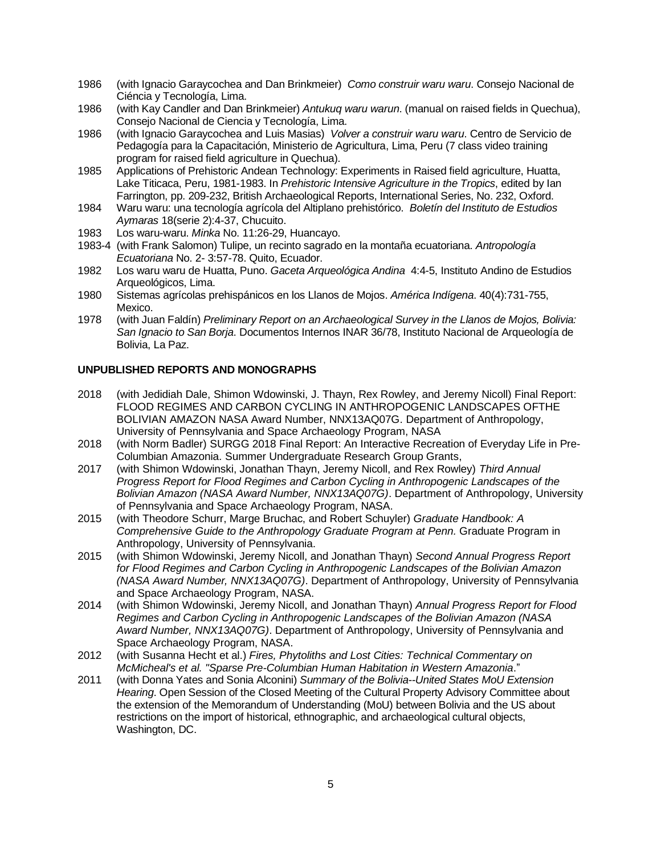- 1986 (with Ignacio Garaycochea and Dan Brinkmeier) *Como construir waru waru*. Consejo Nacional de Ciéncia y Tecnología, Lima.
- 1986 (with Kay Candler and Dan Brinkmeier) *Antukuq waru warun*. (manual on raised fields in Quechua), Consejo Nacional de Ciencia y Tecnología, Lima.
- 1986 (with Ignacio Garaycochea and Luis Masias) *Volver a construir waru waru*. Centro de Servicio de Pedagogía para la Capacitación, Ministerio de Agricultura, Lima, Peru (7 class video training program for raised field agriculture in Quechua).
- 1985 Applications of Prehistoric Andean Technology: Experiments in Raised field agriculture, Huatta, Lake Titicaca, Peru, 1981-1983. In *Prehistoric Intensive Agriculture in the Tropics*, edited by Ian Farrington, pp. 209-232, British Archaeological Reports, International Series, No. 232, Oxford.
- 1984 Waru waru: una tecnología agrícola del Altiplano prehistórico. *Boletín del Instituto de Estudios Aymaras* 18(serie 2):4-37, Chucuito.
- 1983 Los waru-waru. *Minka* No. 11:26-29, Huancayo.
- 1983-4 (with Frank Salomon) Tulipe, un recinto sagrado en la montaña ecuatoriana. *Antropología Ecuatoriana* No. 2- 3:57-78. Quito, Ecuador.
- 1982 Los waru waru de Huatta, Puno. *Gaceta Arqueológica Andina* 4:4-5, Instituto Andino de Estudios Arqueológicos, Lima.
- 1980 Sistemas agrícolas prehispánicos en los Llanos de Mojos. *América Indígena*. 40(4):731-755, Mexico.
- 1978 (with Juan Faldín) *Preliminary Report on an Archaeological Survey in the Llanos de Mojos, Bolivia: San Ignacio to San Borja*. Documentos Internos INAR 36/78, Instituto Nacional de Arqueología de Bolivia, La Paz.

#### **UNPUBLISHED REPORTS AND MONOGRAPHS**

- 2018 (with Jedidiah Dale, Shimon Wdowinski, J. Thayn, Rex Rowley, and Jeremy Nicoll) Final Report: FLOOD REGIMES AND CARBON CYCLING IN ANTHROPOGENIC LANDSCAPES OFTHE BOLIVIAN AMAZON NASA Award Number, NNX13AQ07G. Department of Anthropology, University of Pennsylvania and Space Archaeology Program, NASA
- 2018 (with Norm Badler) SURGG 2018 Final Report: An Interactive Recreation of Everyday Life in Pre-Columbian Amazonia. Summer Undergraduate Research Group Grants,
- 2017 (with Shimon Wdowinski, Jonathan Thayn, Jeremy Nicoll, and Rex Rowley) *Third Annual Progress Report for Flood Regimes and Carbon Cycling in Anthropogenic Landscapes of the Bolivian Amazon (NASA Award Number, NNX13AQ07G)*. Department of Anthropology, University of Pennsylvania and Space Archaeology Program, NASA.
- 2015 (with Theodore Schurr, Marge Bruchac, and Robert Schuyler) *Graduate Handbook: A Comprehensive Guide to the Anthropology Graduate Program at Penn.* Graduate Program in Anthropology, University of Pennsylvania.
- 2015 (with Shimon Wdowinski, Jeremy Nicoll, and Jonathan Thayn) *Second Annual Progress Report for Flood Regimes and Carbon Cycling in Anthropogenic Landscapes of the Bolivian Amazon (NASA Award Number, NNX13AQ07G)*. Department of Anthropology, University of Pennsylvania and Space Archaeology Program, NASA.
- 2014 (with Shimon Wdowinski, Jeremy Nicoll, and Jonathan Thayn) *Annual Progress Report for Flood Regimes and Carbon Cycling in Anthropogenic Landscapes of the Bolivian Amazon (NASA Award Number, NNX13AQ07G)*. Department of Anthropology, University of Pennsylvania and Space Archaeology Program, NASA.
- 2012 (with Susanna Hecht et al.) *Fires, Phytoliths and Lost Cities: Technical Commentary on McMicheal's et al. "Sparse Pre-Columbian Human Habitation in Western Amazonia*."
- 2011 (with Donna Yates and Sonia Alconini) *Summary of the Bolivia--United States MoU Extension Hearing*. Open Session of the Closed Meeting of the Cultural Property Advisory Committee about the extension of the Memorandum of Understanding (MoU) between Bolivia and the US about restrictions on the import of historical, ethnographic, and archaeological cultural objects, Washington, DC.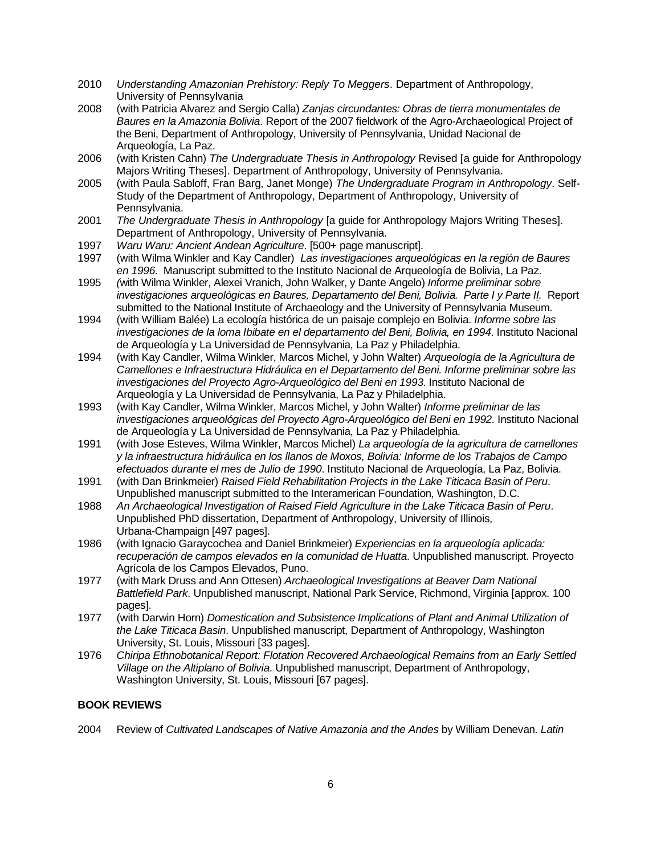- 2010 *Understanding Amazonian Prehistory: Reply To Meggers*. Department of Anthropology, University of Pennsylvania
- 2008 (with Patricia Alvarez and Sergio Calla) *Zanjas circundantes: Obras de tierra monumentales de Baures en la Amazonia Bolivia*. Report of the 2007 fieldwork of the Agro-Archaeological Project of the Beni, Department of Anthropology, University of Pennsylvania, Unidad Nacional de Arqueología, La Paz.
- 2006 (with Kristen Cahn) *The Undergraduate Thesis in Anthropology* Revised [a guide for Anthropology Majors Writing Theses]. Department of Anthropology, University of Pennsylvania.
- 2005 (with Paula Sabloff, Fran Barg, Janet Monge) *The Undergraduate Program in Anthropology*. Self-Study of the Department of Anthropology, Department of Anthropology, University of Pennsylvania.
- 2001 *The Undergraduate Thesis in Anthropology* [a guide for Anthropology Majors Writing Theses]. Department of Anthropology, University of Pennsylvania.
- 1997 *Waru Waru: Ancient Andean Agriculture*. [500+ page manuscript].
- 1997 (with Wilma Winkler and Kay Candler) *Las investigaciones arqueológicas en la región de Baures en 1996*. Manuscript submitted to the Instituto Nacional de Arqueología de Bolivia, La Paz.
- 1995 *(*with Wilma Winkler, Alexei Vranich, John Walker, y Dante Angelo) *Informe preliminar sobre investigaciones arqueológicas en Baures, Departamento del Beni, Bolivia. Parte I y Parte II.* Report submitted to the National Institute of Archaeology and the University of Pennsylvania Museum.
- 1994 (with William Balée) La ecología histórica de un paisaje complejo en Bolivia. *Informe sobre las investigaciones de la loma Ibibate en el departamento del Beni, Bolivia, en 1994*. Instituto Nacional de Arqueología y La Universidad de Pennsylvania, La Paz y Philadelphia.
- 1994 (with Kay Candler, Wilma Winkler, Marcos Michel, y John Walter) *Arqueología de la Agricultura de Camellones e Infraestructura Hidráulica en el Departamento del Beni. Informe preliminar sobre las investigaciones del Proyecto Agro-Arqueológico del Beni en 1993*. Instituto Nacional de Arqueología y La Universidad de Pennsylvania, La Paz y Philadelphia.
- 1993 (with Kay Candler, Wilma Winkler, Marcos Michel, y John Walter) *Informe preliminar de las investigaciones arqueológicas del Proyecto Agro-Arqueológico del Beni en 1992*. Instituto Nacional de Arqueología y La Universidad de Pennsylvania, La Paz y Philadelphia.
- 1991 (with Jose Esteves, Wilma Winkler, Marcos Michel) *La arqueología de la agricultura de camellones y la infraestructura hidráulica en los llanos de Moxos, Bolivia: Informe de los Trabajos de Campo efectuados durante el mes de Julio de 1990*. Instituto Nacional de Arqueología, La Paz, Bolivia.
- 1991 (with Dan Brinkmeier) *Raised Field Rehabilitation Projects in the Lake Titicaca Basin of Peru*. Unpublished manuscript submitted to the Interamerican Foundation, Washington, D.C.
- 1988 *An Archaeological Investigation of Raised Field Agriculture in the Lake Titicaca Basin of Peru*. Unpublished PhD dissertation, Department of Anthropology, University of Illinois, Urbana-Champaign [497 pages].
- 1986 (with Ignacio Garaycochea and Daniel Brinkmeier) *Experiencias en la arqueología aplicada: recuperación de campos elevados en la comunidad de Huatta*. Unpublished manuscript. Proyecto Agrícola de los Campos Elevados, Puno.
- 1977 (with Mark Druss and Ann Ottesen) *Archaeological Investigations at Beaver Dam National Battlefield Park*. Unpublished manuscript, National Park Service, Richmond, Virginia [approx. 100 pages].
- 1977 (with Darwin Horn) *Domestication and Subsistence Implications of Plant and Animal Utilization of the Lake Titicaca Basin*. Unpublished manuscript, Department of Anthropology, Washington University, St. Louis, Missouri [33 pages].
- 1976 *Chiripa Ethnobotanical Report: Flotation Recovered Archaeological Remains from an Early Settled Village on the Altiplano of Bolivia*. Unpublished manuscript, Department of Anthropology, Washington University, St. Louis, Missouri [67 pages].

## **BOOK REVIEWS**

2004 Review of *Cultivated Landscapes of Native Amazonia and the Andes* by William Denevan. *Latin*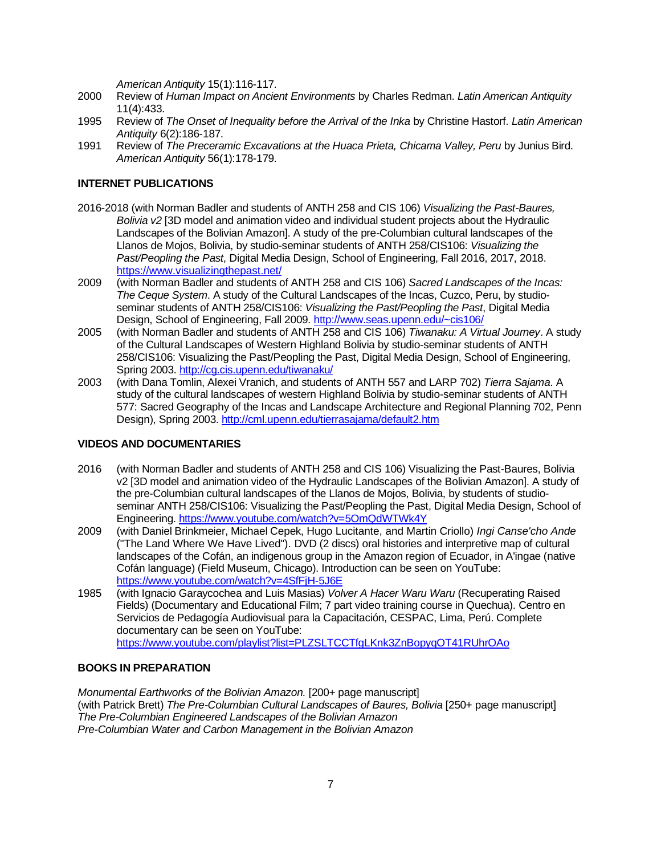*American Antiquity* 15(1):116-117.

- 2000 Review of *Human Impact on Ancient Environments* by Charles Redman. *Latin American Antiquity* 11(4):433.
- 1995 Review of *The Onset of Inequality before the Arrival of the Inka* by Christine Hastorf. *Latin American Antiquity* 6(2):186-187.
- 1991 Review of *The Preceramic Excavations at the Huaca Prieta, Chicama Valley, Peru* by Junius Bird. *American Antiquity* 56(1):178-179.

## **INTERNET PUBLICATIONS**

- 2016-2018 (with Norman Badler and students of ANTH 258 and CIS 106) *Visualizing the Past-Baures, Bolivia v2* [3D model and animation video and individual student projects about the Hydraulic Landscapes of the Bolivian Amazon]. A study of the pre-Columbian cultural landscapes of the Llanos de Mojos, Bolivia, by studio-seminar students of ANTH 258/CIS106: *Visualizing the Past/Peopling the Past*, Digital Media Design, School of Engineering, Fall 2016, 2017, 2018. https://www.visualizingthepast.net/
- 2009 (with Norman Badler and students of ANTH 258 and CIS 106) *Sacred Landscapes of the Incas: The Ceque System*. A study of the Cultural Landscapes of the Incas, Cuzco, Peru, by studioseminar students of ANTH 258/CIS106: *Visualizing the Past/Peopling the Past*, Digital Media Design, School of Engineering, Fall 2009.<http://www.seas.upenn.edu/~cis106/>
- 2005 (with Norman Badler and students of ANTH 258 and CIS 106) *Tiwanaku: A Virtual Journey*. A study of the Cultural Landscapes of Western Highland Bolivia by studio-seminar students of ANTH 258/CIS106: Visualizing the Past/Peopling the Past, Digital Media Design, School of Engineering, Spring 2003.<http://cg.cis.upenn.edu/tiwanaku/>
- 2003 (with Dana Tomlin, Alexei Vranich, and students of ANTH 557 and LARP 702) *Tierra Sajama*. A study of the cultural landscapes of western Highland Bolivia by studio-seminar students of ANTH 577: Sacred Geography of the Incas and Landscape Architecture and Regional Planning 702, Penn Design), Spring 2003. <http://cml.upenn.edu/tierrasajama/default2.htm>

## **VIDEOS AND DOCUMENTARIES**

- 2016 (with Norman Badler and students of ANTH 258 and CIS 106) Visualizing the Past-Baures, Bolivia v2 [3D model and animation video of the Hydraulic Landscapes of the Bolivian Amazon]. A study of the pre-Columbian cultural landscapes of the Llanos de Mojos, Bolivia, by students of studioseminar ANTH 258/CIS106: Visualizing the Past/Peopling the Past, Digital Media Design, School of Engineering. <https://www.youtube.com/watch?v=5OmQdWTWk4Y>
- 2009 (with Daniel Brinkmeier, Michael Cepek, Hugo Lucitante, and Martin Criollo) *Ingi Canse'cho Ande* ("The Land Where We Have Lived"). DVD (2 discs) oral histories and interpretive map of cultural landscapes of the Cofán, an indigenous group in the Amazon region of Ecuador, in A'ingae (native Cofán language) (Field Museum, Chicago). Introduction can be seen on YouTube: <https://www.youtube.com/watch?v=4SfFjH-5J6E>
- 1985 (with Ignacio Garaycochea and Luis Masias) *Volver A Hacer Waru Waru* (Recuperating Raised Fields) (Documentary and Educational Film; 7 part video training course in Quechua). Centro en Servicios de Pedagogía Audiovisual para la Capacitación, CESPAC, Lima, Perú. Complete documentary can be seen on YouTube:

## <https://www.youtube.com/playlist?list=PLZSLTCCTfgLKnk3ZnBopyqOT41RUhrOAo>

## **BOOKS IN PREPARATION**

*Monumental Earthworks of the Bolivian Amazon.* [200+ page manuscript] (with Patrick Brett) *The Pre-Columbian Cultural Landscapes of Baures, Bolivia* [250+ page manuscript] *The Pre-Columbian Engineered Landscapes of the Bolivian Amazon Pre-Columbian Water and Carbon Management in the Bolivian Amazon*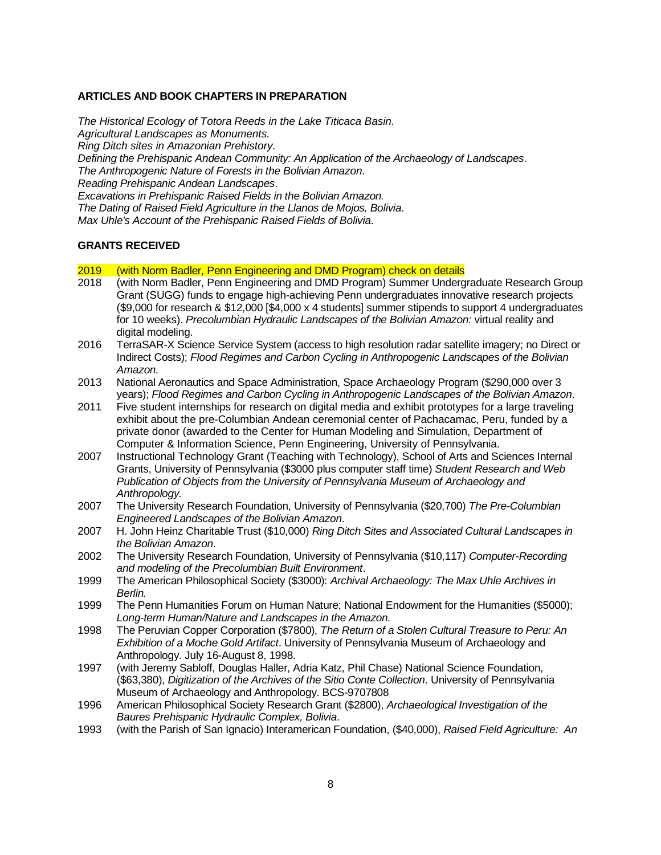#### **ARTICLES AND BOOK CHAPTERS IN PREPARATION**

*The Historical Ecology of Totora Reeds in the Lake Titicaca Basin. Agricultural Landscapes as Monuments. Ring Ditch sites in Amazonian Prehistory. Defining the Prehispanic Andean Community: An Application of the Archaeology of Landscapes*. *The Anthropogenic Nature of Forests in the Bolivian Amazon*. *Reading Prehispanic Andean Landscapes*. *Excavations in Prehispanic Raised Fields in the Bolivian Amazon. The Dating of Raised Field Agriculture in the Llanos de Mojos, Bolivia*. *Max Uhle's Account of the Prehispanic Raised Fields of Bolivia*.

#### **GRANTS RECEIVED**

- 2019 (with Norm Badler, Penn Engineering and DMD Program) check on details
- 2018 (with Norm Badler, Penn Engineering and DMD Program) Summer Undergraduate Research Group Grant (SUGG) funds to engage high-achieving Penn undergraduates innovative research projects (\$9,000 for research & \$12,000 [\$4,000 x 4 students] summer stipends to support 4 undergraduates for 10 weeks). *Precolumbian Hydraulic Landscapes of the Bolivian Amazon:* virtual reality and digital modeling.
- 2016 TerraSAR-X Science Service System (access to high resolution radar satellite imagery; no Direct or Indirect Costs); *Flood Regimes and Carbon Cycling in Anthropogenic Landscapes of the Bolivian Amazon*.
- 2013 National Aeronautics and Space Administration, Space Archaeology Program (\$290,000 over 3 years); *Flood Regimes and Carbon Cycling in Anthropogenic Landscapes of the Bolivian Amazon*.
- 2011 Five student internships for research on digital media and exhibit prototypes for a large traveling exhibit about the pre-Columbian Andean ceremonial center of Pachacamac, Peru, funded by a private donor (awarded to the Center for Human Modeling and Simulation, Department of Computer & Information Science, Penn Engineering, University of Pennsylvania.
- 2007 Instructional Technology Grant (Teaching with Technology), School of Arts and Sciences Internal Grants, University of Pennsylvania (\$3000 plus computer staff time) *Student Research and Web Publication of Objects from the University of Pennsylvania Museum of Archaeology and Anthropology.*
- 2007 The University Research Foundation, University of Pennsylvania (\$20,700) *The Pre-Columbian Engineered Landscapes of the Bolivian Amazon*.
- 2007 H. John Heinz Charitable Trust (\$10,000) *Ring Ditch Sites and Associated Cultural Landscapes in the Bolivian Amazon*.
- 2002 The University Research Foundation, University of Pennsylvania (\$10,117) *Computer-Recording and modeling of the Precolumbian Built Environment*.
- 1999 The American Philosophical Society (\$3000): *Archival Archaeology: The Max Uhle Archives in Berlin.*
- 1999 The Penn Humanities Forum on Human Nature; National Endowment for the Humanities (\$5000); *Long-term Human/Nature and Landscapes in the Amazon.*
- 1998 The Peruvian Copper Corporation (\$7800), *The Return of a Stolen Cultural Treasure to Peru: An Exhibition of a Moche Gold Artifact*. University of Pennsylvania Museum of Archaeology and Anthropology. July 16-August 8, 1998.
- 1997 (with Jeremy Sabloff, Douglas Haller, Adria Katz, Phil Chase) National Science Foundation, (\$63,380), *Digitization of the Archives of the Sitio Conte Collection*. University of Pennsylvania Museum of Archaeology and Anthropology. BCS-9707808
- 1996 American Philosophical Society Research Grant (\$2800), *Archaeological Investigation of the Baures Prehispanic Hydraulic Complex, Bolivia*.
- 1993 (with the Parish of San Ignacio) Interamerican Foundation, (\$40,000), *Raised Field Agriculture: An*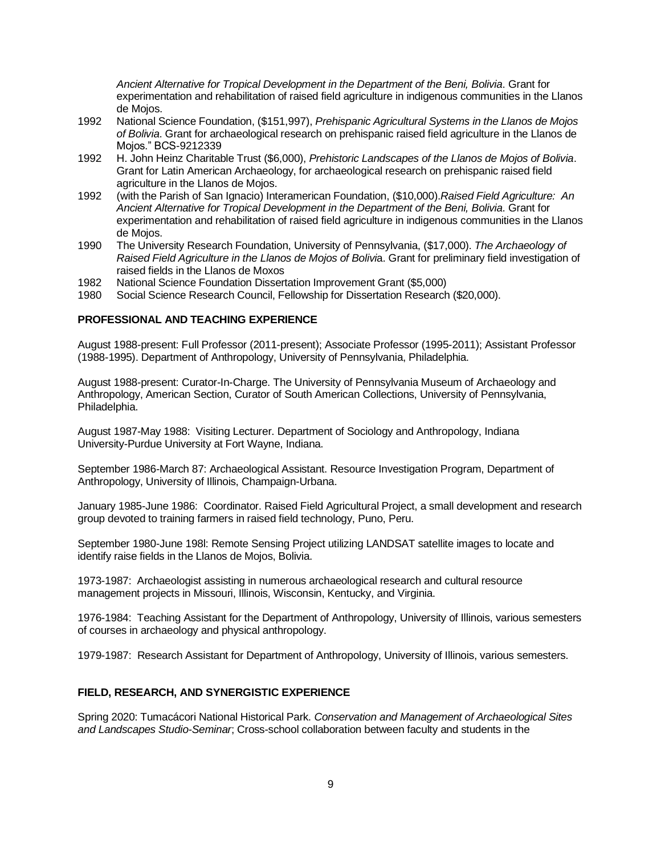*Ancient Alternative for Tropical Development in the Department of the Beni, Bolivia*. Grant for experimentation and rehabilitation of raised field agriculture in indigenous communities in the Llanos de Mojos.

- 1992 National Science Foundation, (\$151,997), *Prehispanic Agricultural Systems in the Llanos de Mojos of Bolivia*. Grant for archaeological research on prehispanic raised field agriculture in the Llanos de Mojos." BCS-9212339
- 1992 H. John Heinz Charitable Trust (\$6,000), *Prehistoric Landscapes of the Llanos de Mojos of Bolivia*. Grant for Latin American Archaeology, for archaeological research on prehispanic raised field agriculture in the Llanos de Mojos.
- 1992 (with the Parish of San Ignacio) Interamerican Foundation, (\$10,000).*Raised Field Agriculture: An Ancient Alternative for Tropical Development in the Department of the Beni, Bolivia*. Grant for experimentation and rehabilitation of raised field agriculture in indigenous communities in the Llanos de Mojos.
- 1990 The University Research Foundation, University of Pennsylvania, (\$17,000). *The Archaeology of Raised Field Agriculture in the Llanos de Mojos of Bolivi*a. Grant for preliminary field investigation of raised fields in the Llanos de Moxos
- 1982 National Science Foundation Dissertation Improvement Grant (\$5,000)
- 1980 Social Science Research Council, Fellowship for Dissertation Research (\$20,000).

## **PROFESSIONAL AND TEACHING EXPERIENCE**

August 1988-present: Full Professor (2011-present); Associate Professor (1995-2011); Assistant Professor (1988-1995). Department of Anthropology, University of Pennsylvania, Philadelphia.

August 1988-present: Curator-In-Charge. The University of Pennsylvania Museum of Archaeology and Anthropology, American Section, Curator of South American Collections, University of Pennsylvania, Philadelphia.

August 1987-May 1988: Visiting Lecturer. Department of Sociology and Anthropology, Indiana University-Purdue University at Fort Wayne, Indiana.

September 1986-March 87: Archaeological Assistant. Resource Investigation Program, Department of Anthropology, University of Illinois, Champaign-Urbana.

January 1985-June 1986: Coordinator. Raised Field Agricultural Project, a small development and research group devoted to training farmers in raised field technology, Puno, Peru.

September 1980-June 198l: Remote Sensing Project utilizing LANDSAT satellite images to locate and identify raise fields in the Llanos de Mojos, Bolivia.

1973-1987: Archaeologist assisting in numerous archaeological research and cultural resource management projects in Missouri, Illinois, Wisconsin, Kentucky, and Virginia.

1976-1984: Teaching Assistant for the Department of Anthropology, University of Illinois, various semesters of courses in archaeology and physical anthropology.

1979-1987: Research Assistant for Department of Anthropology, University of Illinois, various semesters.

#### **FIELD, RESEARCH, AND SYNERGISTIC EXPERIENCE**

Spring 2020: Tumacácori National Historical Park. *Conservation and Management of Archaeological Sites and Landscapes Studio-Seminar*; Cross-school collaboration between faculty and students in the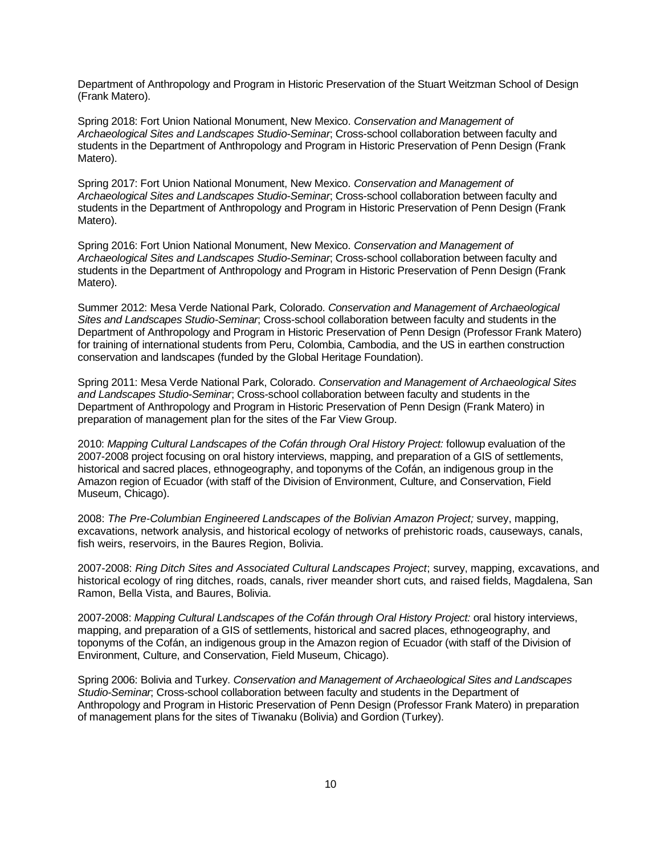Department of Anthropology and Program in Historic Preservation of the Stuart Weitzman School of Design (Frank Matero).

Spring 2018: Fort Union National Monument, New Mexico. *Conservation and Management of Archaeological Sites and Landscapes Studio-Seminar*; Cross-school collaboration between faculty and students in the Department of Anthropology and Program in Historic Preservation of Penn Design (Frank Matero).

Spring 2017: Fort Union National Monument, New Mexico. *Conservation and Management of Archaeological Sites and Landscapes Studio-Seminar*; Cross-school collaboration between faculty and students in the Department of Anthropology and Program in Historic Preservation of Penn Design (Frank Matero).

Spring 2016: Fort Union National Monument, New Mexico. *Conservation and Management of Archaeological Sites and Landscapes Studio-Seminar*; Cross-school collaboration between faculty and students in the Department of Anthropology and Program in Historic Preservation of Penn Design (Frank Matero).

Summer 2012: Mesa Verde National Park, Colorado. *Conservation and Management of Archaeological Sites and Landscapes Studio-Seminar*; Cross-school collaboration between faculty and students in the Department of Anthropology and Program in Historic Preservation of Penn Design (Professor Frank Matero) for training of international students from Peru, Colombia, Cambodia, and the US in earthen construction conservation and landscapes (funded by the Global Heritage Foundation).

Spring 2011: Mesa Verde National Park, Colorado. *Conservation and Management of Archaeological Sites and Landscapes Studio-Seminar*; Cross-school collaboration between faculty and students in the Department of Anthropology and Program in Historic Preservation of Penn Design (Frank Matero) in preparation of management plan for the sites of the Far View Group.

2010: *Mapping Cultural Landscapes of the Cofán through Oral History Project:* followup evaluation of the 2007-2008 project focusing on oral history interviews, mapping, and preparation of a GIS of settlements, historical and sacred places, ethnogeography, and toponyms of the Cofán, an indigenous group in the Amazon region of Ecuador (with staff of the Division of Environment, Culture, and Conservation, Field Museum, Chicago).

2008: *The Pre-Columbian Engineered Landscapes of the Bolivian Amazon Project;* survey, mapping, excavations, network analysis, and historical ecology of networks of prehistoric roads, causeways, canals, fish weirs, reservoirs, in the Baures Region, Bolivia.

2007-2008: *Ring Ditch Sites and Associated Cultural Landscapes Project*; survey, mapping, excavations, and historical ecology of ring ditches, roads, canals, river meander short cuts, and raised fields, Magdalena, San Ramon, Bella Vista, and Baures, Bolivia.

2007-2008: *Mapping Cultural Landscapes of the Cofán through Oral History Project:* oral history interviews, mapping, and preparation of a GIS of settlements, historical and sacred places, ethnogeography, and toponyms of the Cofán, an indigenous group in the Amazon region of Ecuador (with staff of the Division of Environment, Culture, and Conservation, Field Museum, Chicago).

Spring 2006: Bolivia and Turkey. *Conservation and Management of Archaeological Sites and Landscapes Studio-Seminar*; Cross-school collaboration between faculty and students in the Department of Anthropology and Program in Historic Preservation of Penn Design (Professor Frank Matero) in preparation of management plans for the sites of Tiwanaku (Bolivia) and Gordion (Turkey).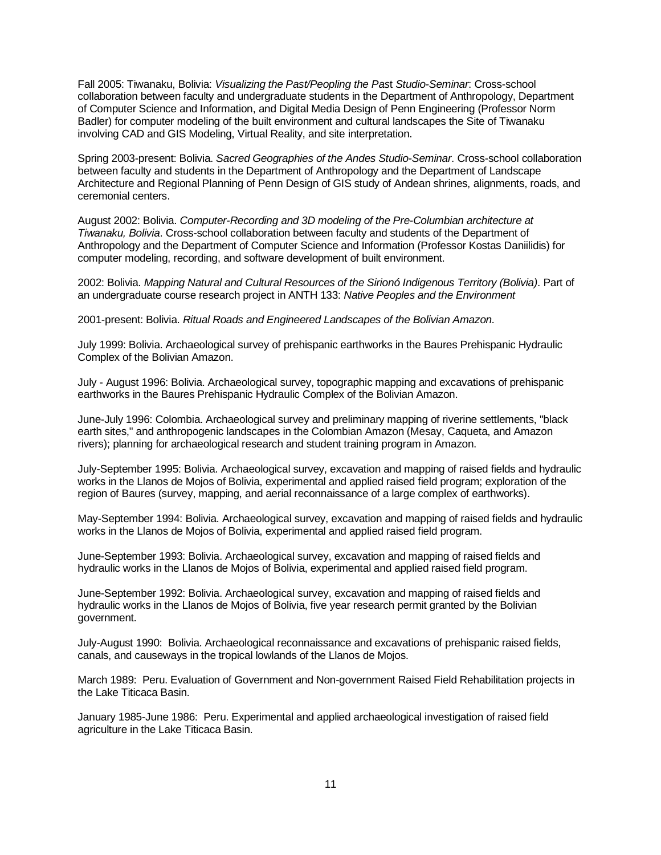Fall 2005: Tiwanaku, Bolivia: *Visualizing the Past/Peopling the Pas*t *Studio-Seminar*: Cross-school collaboration between faculty and undergraduate students in the Department of Anthropology, Department of Computer Science and Information, and Digital Media Design of Penn Engineering (Professor Norm Badler) for computer modeling of the built environment and cultural landscapes the Site of Tiwanaku involving CAD and GIS Modeling, Virtual Reality, and site interpretation.

Spring 2003-present: Bolivia. *Sacred Geographies of the Andes Studio-Seminar*. Cross-school collaboration between faculty and students in the Department of Anthropology and the Department of Landscape Architecture and Regional Planning of Penn Design of GIS study of Andean shrines, alignments, roads, and ceremonial centers.

August 2002: Bolivia. *Computer-Recording and 3D modeling of the Pre-Columbian architecture at Tiwanaku, Bolivia*. Cross-school collaboration between faculty and students of the Department of Anthropology and the Department of Computer Science and Information (Professor Kostas Daniilidis) for computer modeling, recording, and software development of built environment.

2002: Bolivia. *Mapping Natural and Cultural Resources of the Sirionó Indigenous Territory (Bolivia)*. Part of an undergraduate course research project in ANTH 133: *Native Peoples and the Environment*

2001-present: Bolivia. *Ritual Roads and Engineered Landscapes of the Bolivian Amazon*.

July 1999: Bolivia. Archaeological survey of prehispanic earthworks in the Baures Prehispanic Hydraulic Complex of the Bolivian Amazon.

July - August 1996: Bolivia. Archaeological survey, topographic mapping and excavations of prehispanic earthworks in the Baures Prehispanic Hydraulic Complex of the Bolivian Amazon.

June-July 1996: Colombia. Archaeological survey and preliminary mapping of riverine settlements, "black earth sites," and anthropogenic landscapes in the Colombian Amazon (Mesay, Caqueta, and Amazon rivers); planning for archaeological research and student training program in Amazon.

July-September 1995: Bolivia. Archaeological survey, excavation and mapping of raised fields and hydraulic works in the Llanos de Mojos of Bolivia, experimental and applied raised field program; exploration of the region of Baures (survey, mapping, and aerial reconnaissance of a large complex of earthworks).

May-September 1994: Bolivia. Archaeological survey, excavation and mapping of raised fields and hydraulic works in the Llanos de Mojos of Bolivia, experimental and applied raised field program.

June-September 1993: Bolivia. Archaeological survey, excavation and mapping of raised fields and hydraulic works in the Llanos de Mojos of Bolivia, experimental and applied raised field program.

June-September 1992: Bolivia. Archaeological survey, excavation and mapping of raised fields and hydraulic works in the Llanos de Mojos of Bolivia, five year research permit granted by the Bolivian government.

July-August 1990: Bolivia. Archaeological reconnaissance and excavations of prehispanic raised fields, canals, and causeways in the tropical lowlands of the Llanos de Mojos.

March 1989: Peru. Evaluation of Government and Non-government Raised Field Rehabilitation projects in the Lake Titicaca Basin.

January 1985-June 1986: Peru. Experimental and applied archaeological investigation of raised field agriculture in the Lake Titicaca Basin.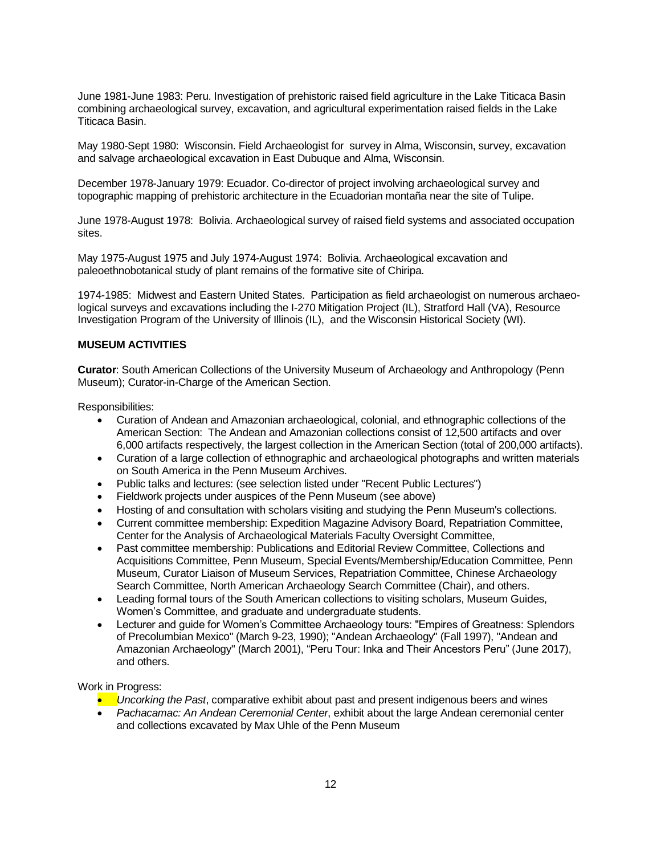June 1981-June 1983: Peru. Investigation of prehistoric raised field agriculture in the Lake Titicaca Basin combining archaeological survey, excavation, and agricultural experimentation raised fields in the Lake Titicaca Basin.

May 1980-Sept 1980: Wisconsin. Field Archaeologist for survey in Alma, Wisconsin, survey, excavation and salvage archaeological excavation in East Dubuque and Alma, Wisconsin.

December 1978-January 1979: Ecuador. Co-director of project involving archaeological survey and topographic mapping of prehistoric architecture in the Ecuadorian montaña near the site of Tulipe.

June 1978-August 1978: Bolivia. Archaeological survey of raised field systems and associated occupation sites.

May 1975-August 1975 and July 1974-August 1974: Bolivia. Archaeological excavation and paleoethnobotanical study of plant remains of the formative site of Chiripa.

1974-1985: Midwest and Eastern United States. Participation as field archaeologist on numerous archaeological surveys and excavations including the I-270 Mitigation Project (IL), Stratford Hall (VA), Resource Investigation Program of the University of Illinois (IL), and the Wisconsin Historical Society (WI).

#### **MUSEUM ACTIVITIES**

**Curator**: South American Collections of the University Museum of Archaeology and Anthropology (Penn Museum); Curator-in-Charge of the American Section.

Responsibilities:

- Curation of Andean and Amazonian archaeological, colonial, and ethnographic collections of the American Section: The Andean and Amazonian collections consist of 12,500 artifacts and over 6,000 artifacts respectively, the largest collection in the American Section (total of 200,000 artifacts).
- Curation of a large collection of ethnographic and archaeological photographs and written materials on South America in the Penn Museum Archives.
- Public talks and lectures: (see selection listed under "Recent Public Lectures")
- Fieldwork projects under auspices of the Penn Museum (see above)
- Hosting of and consultation with scholars visiting and studying the Penn Museum's collections.
- Current committee membership: Expedition Magazine Advisory Board, Repatriation Committee, Center for the Analysis of Archaeological Materials Faculty Oversight Committee,
- Past committee membership: Publications and Editorial Review Committee, Collections and Acquisitions Committee, Penn Museum, Special Events/Membership/Education Committee, Penn Museum, Curator Liaison of Museum Services, Repatriation Committee, Chinese Archaeology Search Committee, North American Archaeology Search Committee (Chair), and others.
- Leading formal tours of the South American collections to visiting scholars, Museum Guides, Women's Committee, and graduate and undergraduate students.
- Lecturer and guide for Women's Committee Archaeology tours: "Empires of Greatness: Splendors of Precolumbian Mexico" (March 9-23, 1990); "Andean Archaeology" (Fall 1997), "Andean and Amazonian Archaeology" (March 2001), "Peru Tour: Inka and Their Ancestors Peru" (June 2017), and others.

Work in Progress:

- *Uncorking the Past*, comparative exhibit about past and present indigenous beers and wines
- *Pachacamac: An Andean Ceremonial Center*, exhibit about the large Andean ceremonial center and collections excavated by Max Uhle of the Penn Museum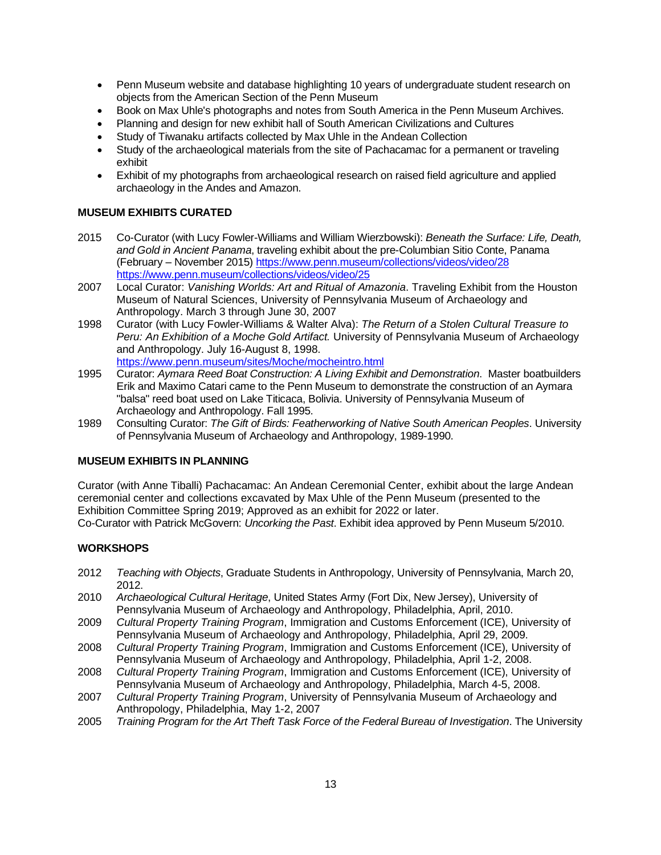- Penn Museum website and database highlighting 10 years of undergraduate student research on objects from the American Section of the Penn Museum
- Book on Max Uhle's photographs and notes from South America in the Penn Museum Archives.
- Planning and design for new exhibit hall of South American Civilizations and Cultures
- Study of Tiwanaku artifacts collected by Max Uhle in the Andean Collection
- Study of the archaeological materials from the site of Pachacamac for a permanent or traveling exhibit
- Exhibit of my photographs from archaeological research on raised field agriculture and applied archaeology in the Andes and Amazon.

### **MUSEUM EXHIBITS CURATED**

- 2015 Co-Curator (with Lucy Fowler-Williams and William Wierzbowski): *Beneath the Surface: Life, Death, and Gold in Ancient Panama*, traveling exhibit about the pre-Columbian Sitio Conte, Panama (February – November 2015) <https://www.penn.museum/collections/videos/video/28> <https://www.penn.museum/collections/videos/video/25>
- 2007 Local Curator: *Vanishing Worlds: Art and Ritual of Amazonia*. Traveling Exhibit from the Houston Museum of Natural Sciences, University of Pennsylvania Museum of Archaeology and Anthropology. March 3 through June 30, 2007
- 1998 Curator (with Lucy Fowler-Williams & Walter Alva): *The Return of a Stolen Cultural Treasure to Peru: An Exhibition of a Moche Gold Artifact.* University of Pennsylvania Museum of Archaeology and Anthropology. July 16-August 8, 1998. <https://www.penn.museum/sites/Moche/mocheintro.html>
- 1995 Curator: *Aymara Reed Boat Construction: A Living Exhibit and Demonstration*. Master boatbuilders Erik and Maximo Catari came to the Penn Museum to demonstrate the construction of an Aymara "balsa" reed boat used on Lake Titicaca, Bolivia. University of Pennsylvania Museum of Archaeology and Anthropology. Fall 1995.
- 1989 Consulting Curator: *The Gift of Birds: Featherworking of Native South American Peoples*. University of Pennsylvania Museum of Archaeology and Anthropology, 1989-1990.

#### **MUSEUM EXHIBITS IN PLANNING**

Curator (with Anne Tiballi) Pachacamac: An Andean Ceremonial Center, exhibit about the large Andean ceremonial center and collections excavated by Max Uhle of the Penn Museum (presented to the Exhibition Committee Spring 2019; Approved as an exhibit for 2022 or later. Co-Curator with Patrick McGovern: *Uncorking the Past*. Exhibit idea approved by Penn Museum 5/2010.

#### **WORKSHOPS**

- 2012 *Teaching with Objects*, Graduate Students in Anthropology, University of Pennsylvania, March 20, 2012.
- 2010 *Archaeological Cultural Heritage*, United States Army (Fort Dix, New Jersey), University of Pennsylvania Museum of Archaeology and Anthropology, Philadelphia, April, 2010.
- 2009 *Cultural Property Training Program*, Immigration and Customs Enforcement (ICE), University of Pennsylvania Museum of Archaeology and Anthropology, Philadelphia, April 29, 2009.
- 2008 *Cultural Property Training Program*, Immigration and Customs Enforcement (ICE), University of Pennsylvania Museum of Archaeology and Anthropology, Philadelphia, April 1-2, 2008.
- 2008 *Cultural Property Training Program*, Immigration and Customs Enforcement (ICE), University of Pennsylvania Museum of Archaeology and Anthropology, Philadelphia, March 4-5, 2008.
- 2007 *Cultural Property Training Program*, University of Pennsylvania Museum of Archaeology and Anthropology, Philadelphia, May 1-2, 2007
- 2005 *Training Program for the Art Theft Task Force of the Federal Bureau of Investigation*. The University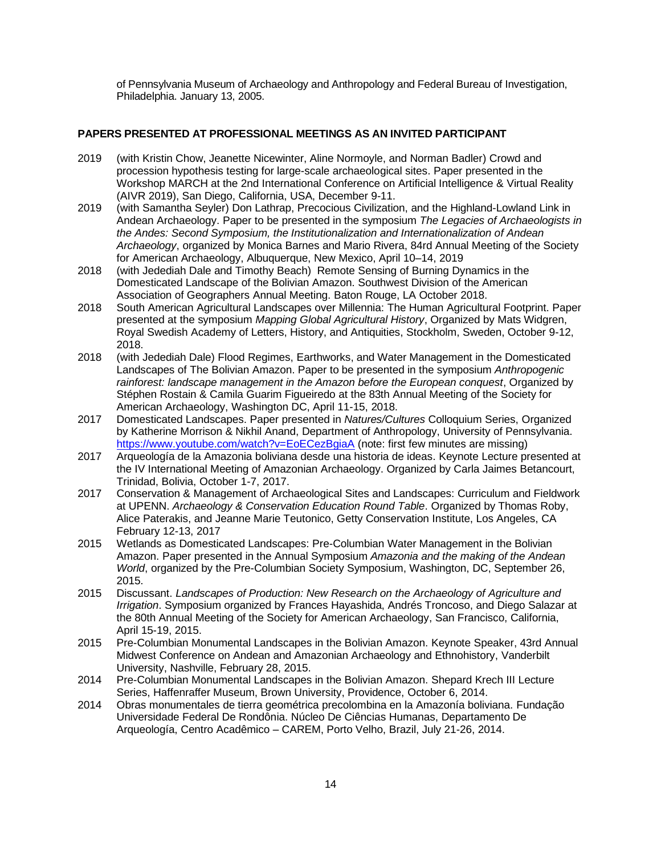of Pennsylvania Museum of Archaeology and Anthropology and Federal Bureau of Investigation, Philadelphia. January 13, 2005.

## **PAPERS PRESENTED AT PROFESSIONAL MEETINGS AS AN INVITED PARTICIPANT**

- 2019 (with Kristin Chow, Jeanette Nicewinter, Aline Normoyle, and Norman Badler) Crowd and procession hypothesis testing for large-scale archaeological sites. Paper presented in the Workshop MARCH at the 2nd International Conference on Artificial Intelligence & Virtual Reality (AIVR 2019), San Diego, California, USA, December 9-11.
- 2019 (with Samantha Seyler) Don Lathrap, Precocious Civilization, and the Highland-Lowland Link in Andean Archaeology. Paper to be presented in the symposium *The Legacies of Archaeologists in the Andes: Second Symposium, the Institutionalization and Internationalization of Andean Archaeology*, organized by Monica Barnes and Mario Rivera, 84rd Annual Meeting of the Society for American Archaeology, Albuquerque, New Mexico, April 10–14, 2019
- 2018 (with Jedediah Dale and Timothy Beach) Remote Sensing of Burning Dynamics in the Domesticated Landscape of the Bolivian Amazon. Southwest Division of the American Association of Geographers Annual Meeting. Baton Rouge, LA October 2018.
- 2018 South American Agricultural Landscapes over Millennia: The Human Agricultural Footprint. Paper presented at the symposium *Mapping Global Agricultural History*, Organized by Mats Widgren, Royal Swedish Academy of Letters, History, and Antiquities, Stockholm, Sweden, October 9-12, 2018.
- 2018 (with Jedediah Dale) Flood Regimes, Earthworks, and Water Management in the Domesticated Landscapes of The Bolivian Amazon. Paper to be presented in the symposium *Anthropogenic rainforest: landscape management in the Amazon before the European conquest*, Organized by Stéphen Rostain & Camila Guarim Figueiredo at the 83th Annual Meeting of the Society for American Archaeology, Washington DC, April 11-15, 2018.
- 2017 Domesticated Landscapes. Paper presented in *Natures/Cultures* Colloquium Series, Organized by Katherine Morrison & Nikhil Anand, Department of Anthropology, University of Pennsylvania. <https://www.youtube.com/watch?v=EoECezBgiaA> (note: first few minutes are missing)
- 2017 Arqueología de la Amazonia boliviana desde una historia de ideas. Keynote Lecture presented at the IV International Meeting of Amazonian Archaeology. Organized by Carla Jaimes Betancourt, Trinidad, Bolivia, October 1-7, 2017.
- 2017 Conservation & Management of Archaeological Sites and Landscapes: Curriculum and Fieldwork at UPENN. *Archaeology & Conservation Education Round Table*. Organized by Thomas Roby, Alice Paterakis, and Jeanne Marie Teutonico, Getty Conservation Institute, Los Angeles, CA February 12-13, 2017
- 2015 Wetlands as Domesticated Landscapes: Pre-Columbian Water Management in the Bolivian Amazon. Paper presented in the Annual Symposium *Amazonia and the making of the Andean World*, organized by the Pre-Columbian Society Symposium, Washington, DC, September 26, 2015.
- 2015 Discussant. *Landscapes of Production: New Research on the Archaeology of Agriculture and Irrigation*. Symposium organized by Frances Hayashida, Andrés Troncoso, and Diego Salazar at the 80th Annual Meeting of the Society for American Archaeology, San Francisco, California, April 15-19, 2015.
- 2015 Pre-Columbian Monumental Landscapes in the Bolivian Amazon. Keynote Speaker, 43rd Annual Midwest Conference on Andean and Amazonian Archaeology and Ethnohistory, Vanderbilt University, Nashville, February 28, 2015.
- 2014 Pre-Columbian Monumental Landscapes in the Bolivian Amazon. Shepard Krech III Lecture Series, Haffenraffer Museum, Brown University, Providence, October 6, 2014.
- 2014 Obras monumentales de tierra geométrica precolombina en la Amazonía boliviana. Fundação Universidade Federal De Rondônia. Núcleo De Ciências Humanas, Departamento De Arqueología, Centro Acadêmico – CAREM, Porto Velho, Brazil, July 21-26, 2014.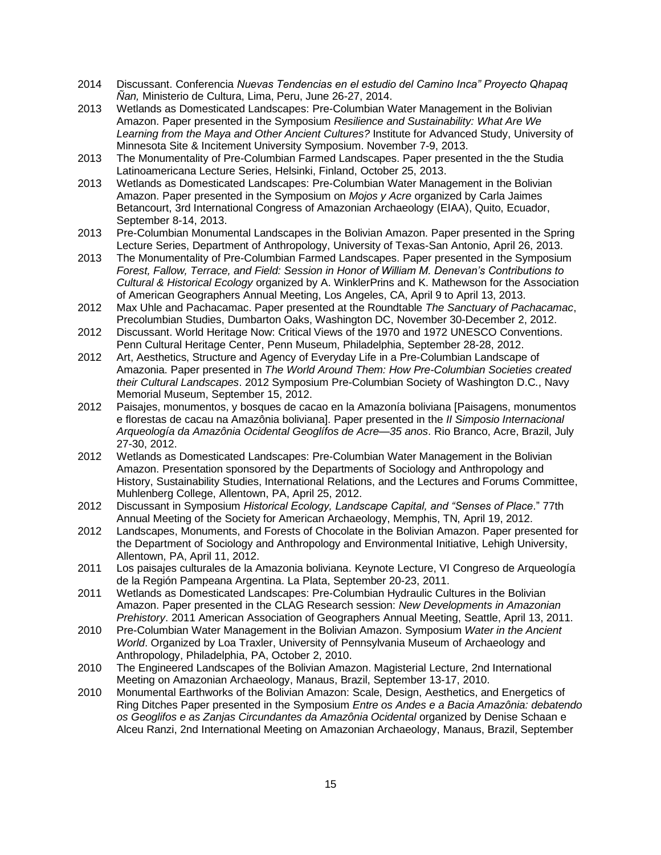- 2014 Discussant. Conferencia *Nuevas Tendencias en el estudio del Camino Inca" Proyecto Qhapaq Ñan,* Ministerio de Cultura, Lima, Peru, June 26-27, 2014.
- 2013 Wetlands as Domesticated Landscapes: Pre-Columbian Water Management in the Bolivian Amazon. Paper presented in the Symposium *Resilience and Sustainability: What Are We Learning from the Maya and Other Ancient Cultures?* Institute for Advanced Study, University of Minnesota Site & Incitement University Symposium. November 7-9, 2013.
- 2013 The Monumentality of Pre-Columbian Farmed Landscapes. Paper presented in the the Studia Latinoamericana Lecture Series, Helsinki, Finland, October 25, 2013.
- 2013 Wetlands as Domesticated Landscapes: Pre-Columbian Water Management in the Bolivian Amazon. Paper presented in the Symposium on *Mojos y Acre* organized by Carla Jaimes Betancourt, 3rd International Congress of Amazonian Archaeology (EIAA), Quito, Ecuador, September 8-14, 2013.
- 2013 Pre-Columbian Monumental Landscapes in the Bolivian Amazon. Paper presented in the Spring Lecture Series, Department of Anthropology, University of Texas-San Antonio, April 26, 2013.
- 2013 The Monumentality of Pre-Columbian Farmed Landscapes. Paper presented in the Symposium *Forest, Fallow, Terrace, and Field: Session in Honor of William M. Denevan's Contributions to Cultural & Historical Ecology* organized by A. WinklerPrins and K. Mathewson for the Association of American Geographers Annual Meeting, Los Angeles, CA, April 9 to April 13, 2013.
- 2012 Max Uhle and Pachacamac. Paper presented at the Roundtable *The Sanctuary of Pachacamac*, Precolumbian Studies, Dumbarton Oaks, Washington DC, November 30-December 2, 2012.
- 2012 Discussant. World Heritage Now: Critical Views of the 1970 and 1972 UNESCO Conventions. Penn Cultural Heritage Center, Penn Museum, Philadelphia, September 28-28, 2012.
- 2012 Art, Aesthetics, Structure and Agency of Everyday Life in a Pre-Columbian Landscape of Amazonia. Paper presented in *The World Around Them: How Pre-Columbian Societies created their Cultural Landscapes*. 2012 Symposium Pre-Columbian Society of Washington D.C., Navy Memorial Museum, September 15, 2012.
- 2012 Paisajes, monumentos, y bosques de cacao en la Amazonía boliviana [Paisagens, monumentos e florestas de cacau na Amazônia boliviana]. Paper presented in the *II Simposio Internacional Arqueología da Amazônia Ocidental Geoglífos de Acre—35 anos*. Rio Branco, Acre, Brazil, July 27-30, 2012.
- 2012 Wetlands as Domesticated Landscapes: Pre-Columbian Water Management in the Bolivian Amazon. Presentation sponsored by the Departments of Sociology and Anthropology and History, Sustainability Studies, International Relations, and the Lectures and Forums Committee, Muhlenberg College, Allentown, PA, April 25, 2012.
- 2012 Discussant in Symposium *Historical Ecology, Landscape Capital, and "Senses of Place*." 77th Annual Meeting of the Society for American Archaeology, Memphis, TN, April 19, 2012.
- 2012 Landscapes, Monuments, and Forests of Chocolate in the Bolivian Amazon. Paper presented for the Department of Sociology and Anthropology and Environmental Initiative, Lehigh University, Allentown, PA, April 11, 2012.
- 2011 Los paisajes culturales de la Amazonia boliviana. Keynote Lecture, VI Congreso de Arqueología de la Región Pampeana Argentina. La Plata, September 20-23, 2011.
- 2011 Wetlands as Domesticated Landscapes: Pre-Columbian Hydraulic Cultures in the Bolivian Amazon. Paper presented in the CLAG Research session: *New Developments in Amazonian Prehistory*. 2011 American Association of Geographers Annual Meeting, Seattle, April 13, 2011.
- 2010 Pre-Columbian Water Management in the Bolivian Amazon. Symposium *Water in the Ancient World*. Organized by Loa Traxler, University of Pennsylvania Museum of Archaeology and Anthropology, Philadelphia, PA, October 2, 2010.
- 2010 The Engineered Landscapes of the Bolivian Amazon. Magisterial Lecture, 2nd International Meeting on Amazonian Archaeology, Manaus, Brazil, September 13-17, 2010.
- 2010 Monumental Earthworks of the Bolivian Amazon: Scale, Design, Aesthetics, and Energetics of Ring Ditches Paper presented in the Symposium *Entre os Andes e a Bacia Amazônia: debatendo os Geoglifos e as Zanjas Circundantes da Amazônia Ocidental* organized by Denise Schaan e Alceu Ranzi, 2nd International Meeting on Amazonian Archaeology, Manaus, Brazil, September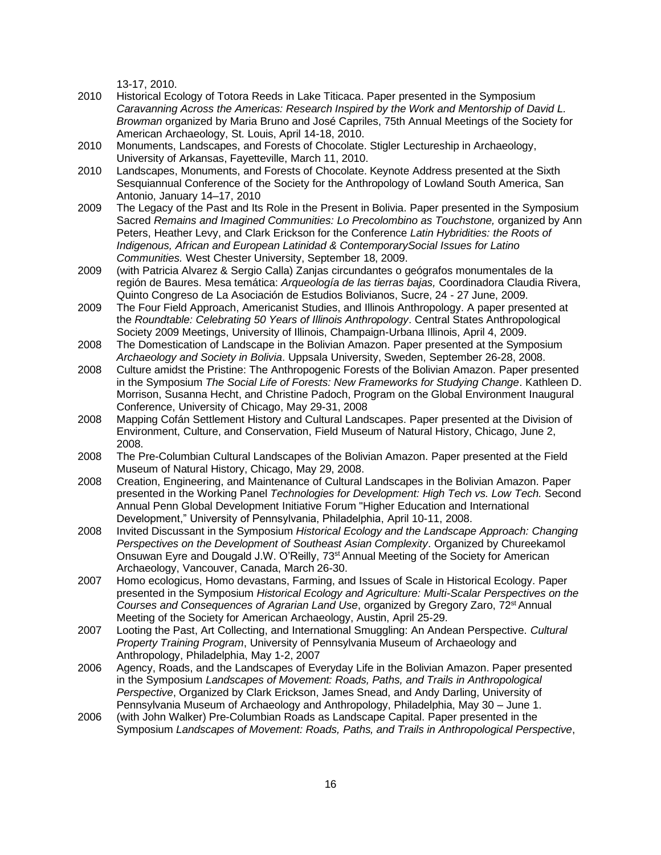13-17, 2010.

- 2010 Historical Ecology of Totora Reeds in Lake Titicaca. Paper presented in the Symposium *Caravanning Across the Americas: Research Inspired by the Work and Mentorship of David L. Browman* organized by Maria Bruno and José Capriles, 75th Annual Meetings of the Society for American Archaeology, St. Louis, April 14-18, 2010.
- 2010 Monuments, Landscapes, and Forests of Chocolate. Stigler Lectureship in Archaeology, University of Arkansas, Fayetteville, March 11, 2010.
- 2010 Landscapes, Monuments, and Forests of Chocolate. Keynote Address presented at the Sixth Sesquiannual Conference of the Society for the Anthropology of Lowland South America, San Antonio, January 14–17, 2010
- 2009 The Legacy of the Past and Its Role in the Present in Bolivia. Paper presented in the Symposium Sacred *Remains and Imagined Communities: Lo Precolombino as Touchstone,* organized by Ann Peters, Heather Levy, and Clark Erickson for the Conference *Latin Hybridities: the Roots of Indigenous, African and European Latinidad & ContemporarySocial Issues for Latino Communities.* West Chester University, September 18, 2009.
- 2009 (with Patricia Alvarez & Sergio Calla) Zanjas circundantes o geógrafos monumentales de la región de Baures. Mesa temática: *Arqueología de las tierras bajas,* Coordinadora Claudia Rivera, Quinto Congreso de La Asociación de Estudios Bolivianos, Sucre, 24 - 27 June, 2009.
- 2009 The Four Field Approach, Americanist Studies, and Illinois Anthropology. A paper presented at the *Roundtable: Celebrating 50 Years of Illinois Anthropology*. Central States Anthropological Society 2009 Meetings, University of Illinois, Champaign-Urbana Illinois, April 4, 2009.
- 2008 The Domestication of Landscape in the Bolivian Amazon. Paper presented at the Symposium *Archaeology and Society in Bolivia*. Uppsala University, Sweden, September 26-28, 2008.
- 2008 Culture amidst the Pristine: The Anthropogenic Forests of the Bolivian Amazon. Paper presented in the Symposium *The Social Life of Forests: New Frameworks for Studying Change*. Kathleen D. Morrison, Susanna Hecht, and Christine Padoch, Program on the Global Environment Inaugural Conference, University of Chicago, May 29-31, 2008
- 2008 Mapping Cofán Settlement History and Cultural Landscapes. Paper presented at the Division of Environment, Culture, and Conservation, Field Museum of Natural History, Chicago, June 2, 2008.
- 2008 The Pre-Columbian Cultural Landscapes of the Bolivian Amazon. Paper presented at the Field Museum of Natural History, Chicago, May 29, 2008.
- 2008 Creation, Engineering, and Maintenance of Cultural Landscapes in the Bolivian Amazon. Paper presented in the Working Panel *Technologies for Development: High Tech vs. Low Tech.* Second Annual Penn Global Development Initiative Forum "Higher Education and International Development," University of Pennsylvania, Philadelphia, April 10-11, 2008.
- 2008 Invited Discussant in the Symposium *Historical Ecology and the Landscape Approach: Changing Perspectives on the Development of Southeast Asian Complexity*. Organized by Chureekamol Onsuwan Eyre and Dougald J.W. O'Reilly, 73<sup>st</sup> Annual Meeting of the Society for American Archaeology, Vancouver, Canada, March 26-30.
- 2007 Homo ecologicus, Homo devastans, Farming, and Issues of Scale in Historical Ecology. Paper presented in the Symposium *Historical Ecology and Agriculture: Multi-Scalar Perspectives on the Courses and Consequences of Agrarian Land Use*, organized by Gregory Zaro, 72st Annual Meeting of the Society for American Archaeology, Austin, April 25-29.
- 2007 Looting the Past, Art Collecting, and International Smuggling: An Andean Perspective. *Cultural Property Training Program*, University of Pennsylvania Museum of Archaeology and Anthropology, Philadelphia, May 1-2, 2007
- 2006 Agency, Roads, and the Landscapes of Everyday Life in the Bolivian Amazon. Paper presented in the Symposium *Landscapes of Movement: Roads, Paths, and Trails in Anthropological Perspective*, Organized by Clark Erickson, James Snead, and Andy Darling, University of Pennsylvania Museum of Archaeology and Anthropology, Philadelphia, May 30 – June 1.
- 2006 (with John Walker) Pre-Columbian Roads as Landscape Capital. Paper presented in the Symposium *Landscapes of Movement: Roads, Paths, and Trails in Anthropological Perspective*,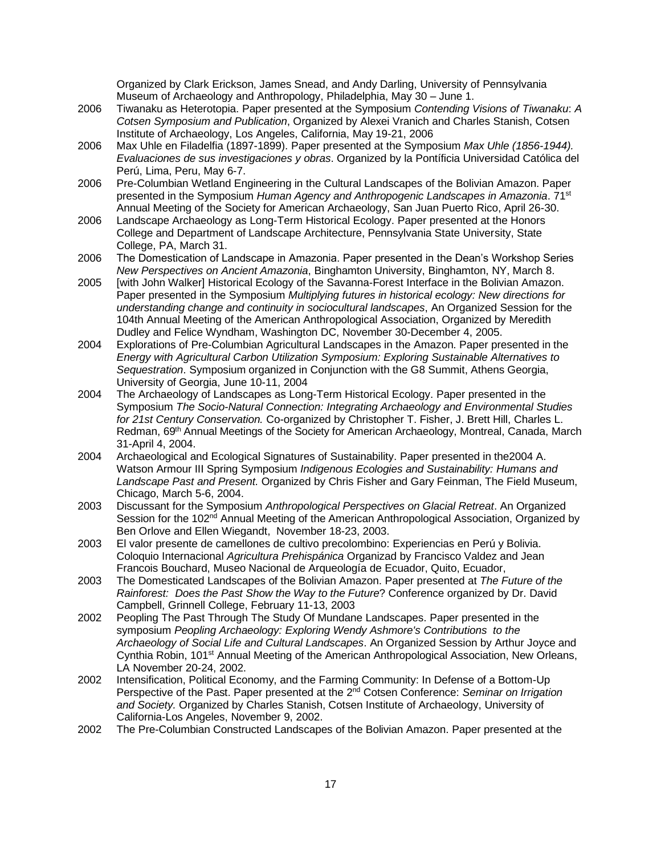Organized by Clark Erickson, James Snead, and Andy Darling, University of Pennsylvania Museum of Archaeology and Anthropology, Philadelphia, May 30 – June 1.

- 2006 Tiwanaku as Heterotopia. Paper presented at the Symposium *Contending Visions of Tiwanaku*: *A Cotsen Symposium and Publication*, Organized by Alexei Vranich and Charles Stanish, Cotsen Institute of Archaeology, Los Angeles, California, May 19-21, 2006
- 2006 Max Uhle en Filadelfia (1897-1899). Paper presented at the Symposium *Max Uhle (1856-1944). Evaluaciones de sus investigaciones y obras*. Organized by la Pontíficia Universidad Católica del Perú, Lima, Peru, May 6-7.
- 2006 Pre-Columbian Wetland Engineering in the Cultural Landscapes of the Bolivian Amazon. Paper presented in the Symposium *Human Agency and Anthropogenic Landscapes in Amazonia*. 71st Annual Meeting of the Society for American Archaeology, San Juan Puerto Rico, April 26-30.
- 2006 Landscape Archaeology as Long-Term Historical Ecology. Paper presented at the Honors College and Department of Landscape Architecture, Pennsylvania State University, State College, PA, March 31.
- 2006 The Domestication of Landscape in Amazonia. Paper presented in the Dean's Workshop Series *New Perspectives on Ancient Amazonia*, Binghamton University, Binghamton, NY, March 8.
- 2005 [with John Walker] Historical Ecology of the Savanna-Forest Interface in the Bolivian Amazon. Paper presented in the Symposium *Multiplying futures in historical ecology: New directions for understanding change and continuity in sociocultural landscapes*, An Organized Session for the 104th Annual Meeting of the American Anthropological Association, Organized by Meredith Dudley and Felice Wyndham, Washington DC, November 30-December 4, 2005.
- 2004 Explorations of Pre-Columbian Agricultural Landscapes in the Amazon. Paper presented in the *Energy with Agricultural Carbon Utilization Symposium: Exploring Sustainable Alternatives to Sequestration*. Symposium organized in Conjunction with the G8 Summit, Athens Georgia, University of Georgia, June 10-11, 2004
- 2004 The Archaeology of Landscapes as Long-Term Historical Ecology. Paper presented in the Symposium *The Socio-Natural Connection: Integrating Archaeology and Environmental Studies for 21st Century Conservation.* Co-organized by Christopher T. Fisher, J. Brett Hill, Charles L. Redman, 69<sup>th</sup> Annual Meetings of the Society for American Archaeology, Montreal, Canada, March 31-April 4, 2004.
- 2004 Archaeological and Ecological Signatures of Sustainability. Paper presented in the2004 A. Watson Armour III Spring Symposium *Indigenous Ecologies and Sustainability: Humans and Landscape Past and Present.* Organized by Chris Fisher and Gary Feinman, The Field Museum, Chicago, March 5-6, 2004.
- 2003 Discussant for the Symposium *Anthropological Perspectives on Glacial Retreat*. An Organized Session for the 102<sup>nd</sup> Annual Meeting of the American Anthropological Association, Organized by Ben Orlove and Ellen Wiegandt, November 18-23, 2003.
- 2003 El valor presente de camellones de cultivo precolombino: Experiencias en Perú y Bolivia. Coloquio Internacional *Agricultura Prehispánica* Organizad by Francisco Valdez and Jean Francois Bouchard, Museo Nacional de Arqueología de Ecuador, Quito, Ecuador,
- 2003 The Domesticated Landscapes of the Bolivian Amazon. Paper presented at *The Future of the Rainforest: Does the Past Show the Way to the Future*? Conference organized by Dr. David Campbell, Grinnell College, February 11-13, 2003
- 2002 Peopling The Past Through The Study Of Mundane Landscapes. Paper presented in the symposium *Peopling Archaeology: Exploring Wendy Ashmore's Contributions to the Archaeology of Social Life and Cultural Landscapes*. An Organized Session by Arthur Joyce and Cynthia Robin, 101<sup>st</sup> Annual Meeting of the American Anthropological Association, New Orleans, LA November 20-24, 2002.
- 2002 Intensification, Political Economy, and the Farming Community: In Defense of a Bottom-Up Perspective of the Past. Paper presented at the 2nd Cotsen Conference: *Seminar on Irrigation and Society.* Organized by Charles Stanish, Cotsen Institute of Archaeology, University of California-Los Angeles, November 9, 2002.
- 2002 The Pre-Columbian Constructed Landscapes of the Bolivian Amazon. Paper presented at the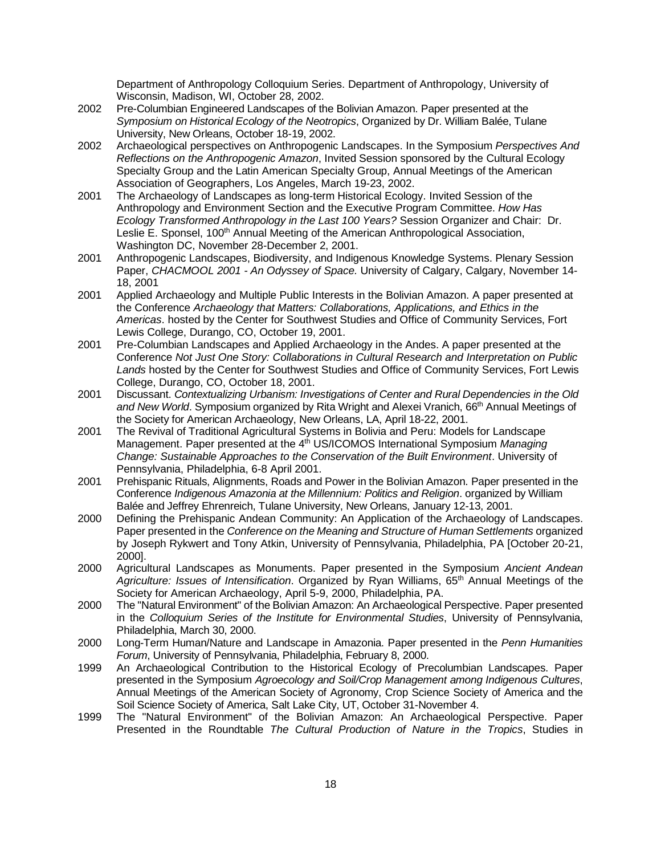Department of Anthropology Colloquium Series. Department of Anthropology, University of Wisconsin, Madison, WI, October 28, 2002.

- 2002 Pre-Columbian Engineered Landscapes of the Bolivian Amazon. Paper presented at the *Symposium on Historical Ecology of the Neotropics*, Organized by Dr. William Balée, Tulane University, New Orleans, October 18-19, 2002.
- 2002 Archaeological perspectives on Anthropogenic Landscapes. In the Symposium *Perspectives And Reflections on the Anthropogenic Amazon*, Invited Session sponsored by the Cultural Ecology Specialty Group and the Latin American Specialty Group, Annual Meetings of the American Association of Geographers, Los Angeles, March 19-23, 2002.
- 2001 The Archaeology of Landscapes as long-term Historical Ecology. Invited Session of the Anthropology and Environment Section and the Executive Program Committee. *How Has Ecology Transformed Anthropology in the Last 100 Years?* Session Organizer and Chair: Dr. Leslie E. Sponsel, 100<sup>th</sup> Annual Meeting of the American Anthropological Association, Washington DC, November 28-December 2, 2001.
- 2001 Anthropogenic Landscapes, Biodiversity, and Indigenous Knowledge Systems. Plenary Session Paper, *CHACMOOL 2001 - An Odyssey of Space.* University of Calgary, Calgary, November 14- 18, 2001
- 2001 Applied Archaeology and Multiple Public Interests in the Bolivian Amazon. A paper presented at the Conference *Archaeology that Matters: Collaborations, Applications, and Ethics in the Americas*. hosted by the Center for Southwest Studies and Office of Community Services, Fort Lewis College, Durango, CO, October 19, 2001.
- 2001 Pre-Columbian Landscapes and Applied Archaeology in the Andes. A paper presented at the Conference *Not Just One Story: Collaborations in Cultural Research and Interpretation on Public Lands* hosted by the Center for Southwest Studies and Office of Community Services, Fort Lewis College, Durango, CO, October 18, 2001.
- 2001 Discussant. *Contextualizing Urbanism: Investigations of Center and Rural Dependencies in the Old and New World*. Symposium organized by Rita Wright and Alexei Vranich, 66th Annual Meetings of the Society for American Archaeology, New Orleans, LA, April 18-22, 2001.
- 2001 The Revival of Traditional Agricultural Systems in Bolivia and Peru: Models for Landscape Management. Paper presented at the 4<sup>th</sup> US/ICOMOS International Symposium Managing *Change: Sustainable Approaches to the Conservation of the Built Environment*. University of Pennsylvania, Philadelphia, 6-8 April 2001.
- 2001 Prehispanic Rituals, Alignments, Roads and Power in the Bolivian Amazon. Paper presented in the Conference *Indigenous Amazonia at the Millennium: Politics and Religion*. organized by William Balée and Jeffrey Ehrenreich, Tulane University, New Orleans, January 12-13, 2001.
- 2000 Defining the Prehispanic Andean Community: An Application of the Archaeology of Landscapes. Paper presented in the *Conference on the Meaning and Structure of Human Settlements* organized by Joseph Rykwert and Tony Atkin, University of Pennsylvania, Philadelphia, PA [October 20-21, 2000].
- 2000 Agricultural Landscapes as Monuments. Paper presented in the Symposium *Ancient Andean Agriculture: Issues of Intensification*. Organized by Ryan Williams, 65th Annual Meetings of the Society for American Archaeology, April 5-9, 2000, Philadelphia, PA.
- 2000 The "Natural Environment" of the Bolivian Amazon: An Archaeological Perspective. Paper presented in the *Colloquium Series of the Institute for Environmental Studies*, University of Pennsylvania, Philadelphia, March 30, 2000.
- 2000 Long-Term Human/Nature and Landscape in Amazonia. Paper presented in the *Penn Humanities Forum*, University of Pennsylvania, Philadelphia, February 8, 2000.
- 1999 An Archaeological Contribution to the Historical Ecology of Precolumbian Landscapes. Paper presented in the Symposium *Agroecology and Soil/Crop Management among Indigenous Cultures*, Annual Meetings of the American Society of Agronomy, Crop Science Society of America and the Soil Science Society of America, Salt Lake City, UT, October 31-November 4.
- 1999 The "Natural Environment" of the Bolivian Amazon: An Archaeological Perspective. Paper Presented in the Roundtable *The Cultural Production of Nature in the Tropics*, Studies in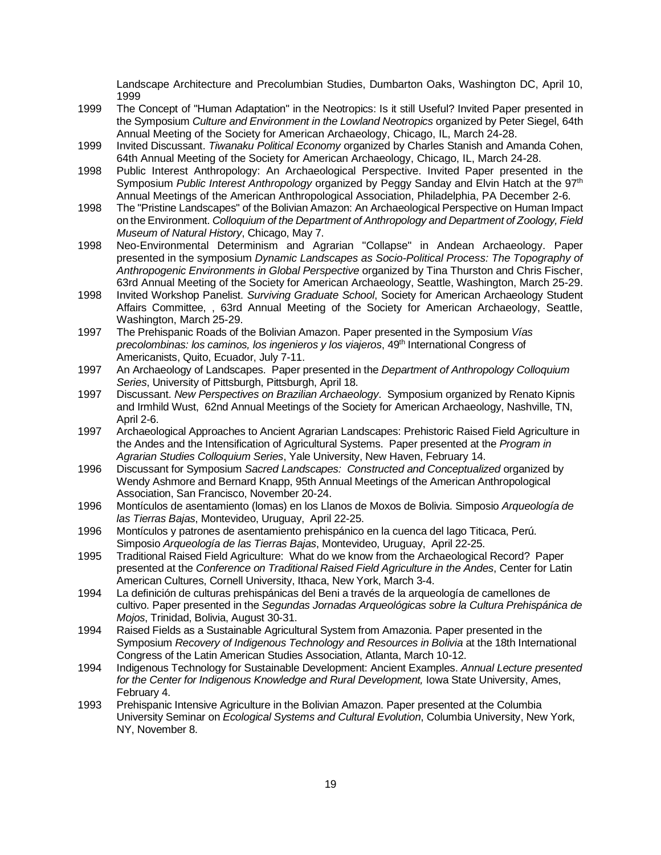Landscape Architecture and Precolumbian Studies, Dumbarton Oaks, Washington DC, April 10, 1999

- 1999 The Concept of "Human Adaptation" in the Neotropics: Is it still Useful? Invited Paper presented in the Symposium *Culture and Environment in the Lowland Neotropics* organized by Peter Siegel, 64th Annual Meeting of the Society for American Archaeology, Chicago, IL, March 24-28.
- 1999 Invited Discussant. *Tiwanaku Political Economy* organized by Charles Stanish and Amanda Cohen, 64th Annual Meeting of the Society for American Archaeology, Chicago, IL, March 24-28.
- 1998 Public Interest Anthropology: An Archaeological Perspective. Invited Paper presented in the Symposium Public Interest Anthropology organized by Peggy Sanday and Elvin Hatch at the 97<sup>th</sup> Annual Meetings of the American Anthropological Association, Philadelphia, PA December 2-6.
- 1998 The "Pristine Landscapes" of the Bolivian Amazon: An Archaeological Perspective on Human Impact on the Environment. *Colloquium of the Department of Anthropology and Department of Zoology, Field Museum of Natural History*, Chicago, May 7.
- 1998 Neo-Environmental Determinism and Agrarian "Collapse" in Andean Archaeology. Paper presented in the symposium *Dynamic Landscapes as Socio-Political Process: The Topography of Anthropogenic Environments in Global Perspective* organized by Tina Thurston and Chris Fischer, 63rd Annual Meeting of the Society for American Archaeology, Seattle, Washington, March 25-29.
- 1998 Invited Workshop Panelist. *Surviving Graduate School*, Society for American Archaeology Student Affairs Committee, , 63rd Annual Meeting of the Society for American Archaeology, Seattle, Washington, March 25-29.
- 1997 The Prehispanic Roads of the Bolivian Amazon. Paper presented in the Symposium *Vías precolombinas: los caminos, los ingenieros y los viajeros*, 49th International Congress of Americanists, Quito, Ecuador, July 7-11.
- 1997 An Archaeology of Landscapes. Paper presented in the *Department of Anthropology Colloquium Series*, University of Pittsburgh, Pittsburgh, April 18.
- 1997 Discussant. *New Perspectives on Brazilian Archaeology*. Symposium organized by Renato Kipnis and Irmhild Wust, 62nd Annual Meetings of the Society for American Archaeology, Nashville, TN, April 2-6.
- 1997 Archaeological Approaches to Ancient Agrarian Landscapes: Prehistoric Raised Field Agriculture in the Andes and the Intensification of Agricultural Systems. Paper presented at the *Program in Agrarian Studies Colloquium Series*, Yale University, New Haven, February 14.
- 1996 Discussant for Symposium *Sacred Landscapes: Constructed and Conceptualized* organized by Wendy Ashmore and Bernard Knapp, 95th Annual Meetings of the American Anthropological Association, San Francisco, November 20-24.
- 1996 Montículos de asentamiento (lomas) en los Llanos de Moxos de Bolivia. Simposio *Arqueología de las Tierras Bajas*, Montevideo, Uruguay, April 22-25.
- 1996 Montículos y patrones de asentamiento prehispánico en la cuenca del lago Titicaca, Perú. Simposio *Arqueología de las Tierras Bajas*, Montevideo, Uruguay, April 22-25.
- 1995 Traditional Raised Field Agriculture: What do we know from the Archaeological Record? Paper presented at the *Conference on Traditional Raised Field Agriculture in the Andes*, Center for Latin American Cultures, Cornell University, Ithaca, New York, March 3-4.
- 1994 La definición de culturas prehispánicas del Beni a través de la arqueología de camellones de cultivo. Paper presented in the *Segundas Jornadas Arqueológicas sobre la Cultura Prehispánica de Mojos*, Trinidad, Bolivia, August 30-31.
- 1994 Raised Fields as a Sustainable Agricultural System from Amazonia. Paper presented in the Symposium *Recovery of Indigenous Technology and Resources in Bolivia* at the 18th International Congress of the Latin American Studies Association, Atlanta, March 10-12.
- 1994 Indigenous Technology for Sustainable Development: Ancient Examples. *Annual Lecture presented for the Center for Indigenous Knowledge and Rural Development,* Iowa State University, Ames, February 4.
- 1993 Prehispanic Intensive Agriculture in the Bolivian Amazon. Paper presented at the Columbia University Seminar on *Ecological Systems and Cultural Evolution*, Columbia University, New York, NY, November 8.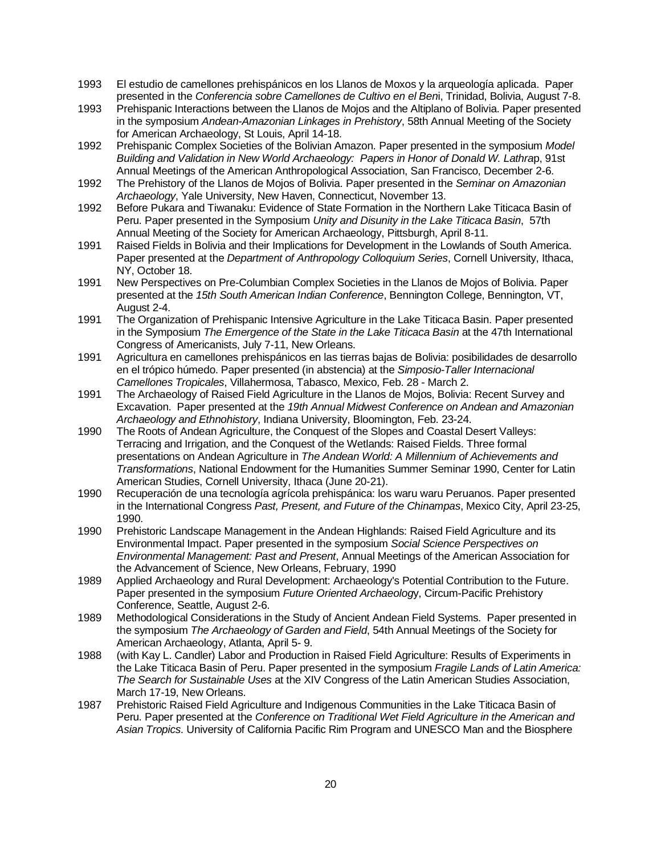- 1993 El estudio de camellones prehispánicos en los Llanos de Moxos y la arqueología aplicada. Paper presented in the *Conferencia sobre Camellones de Cultivo en el Ben*i, Trinidad, Bolivia, August 7-8.
- 1993 Prehispanic Interactions between the Llanos de Mojos and the Altiplano of Bolivia. Paper presented in the symposium *Andean-Amazonian Linkages in Prehistory*, 58th Annual Meeting of the Society for American Archaeology, St Louis, April 14-18.
- 1992 Prehispanic Complex Societies of the Bolivian Amazon. Paper presented in the symposium *Model Building and Validation in New World Archaeology: Papers in Honor of Donald W. Lathra*p, 91st Annual Meetings of the American Anthropological Association, San Francisco, December 2-6.
- 1992 The Prehistory of the Llanos de Mojos of Bolivia. Paper presented in the *Seminar on Amazonian Archaeology*, Yale University, New Haven, Connecticut, November 13.
- 1992 Before Pukara and Tiwanaku: Evidence of State Formation in the Northern Lake Titicaca Basin of Peru. Paper presented in the Symposium *Unity and Disunity in the Lake Titicaca Basin*, 57th Annual Meeting of the Society for American Archaeology, Pittsburgh, April 8-11.
- 1991 Raised Fields in Bolivia and their Implications for Development in the Lowlands of South America. Paper presented at the *Department of Anthropology Colloquium Series*, Cornell University, Ithaca, NY, October 18.
- 1991 New Perspectives on Pre-Columbian Complex Societies in the Llanos de Mojos of Bolivia. Paper presented at the *15th South American Indian Conference*, Bennington College, Bennington, VT, August 2-4.
- 1991 The Organization of Prehispanic Intensive Agriculture in the Lake Titicaca Basin. Paper presented in the Symposium *The Emergence of the State in the Lake Titicaca Basin* at the 47th International Congress of Americanists, July 7-11, New Orleans.
- 1991 Agricultura en camellones prehispánicos en las tierras bajas de Bolivia: posibilidades de desarrollo en el trópico húmedo. Paper presented (in abstencia) at the *Simposio-Taller Internacional Camellones Tropicales*, Villahermosa, Tabasco, Mexico, Feb. 28 - March 2.
- 1991 The Archaeology of Raised Field Agriculture in the Llanos de Mojos, Bolivia: Recent Survey and Excavation. Paper presented at the *19th Annual Midwest Conference on Andean and Amazonian Archaeology and Ethnohistory*, Indiana University, Bloomington, Feb. 23-24.
- 1990 The Roots of Andean Agriculture, the Conquest of the Slopes and Coastal Desert Valleys: Terracing and Irrigation, and the Conquest of the Wetlands: Raised Fields. Three formal presentations on Andean Agriculture in *The Andean World: A Millennium of Achievements and Transformations*, National Endowment for the Humanities Summer Seminar 1990, Center for Latin American Studies, Cornell University, Ithaca (June 20-21).
- 1990 Recuperación de una tecnología agrícola prehispánica: los waru waru Peruanos. Paper presented in the International Congress *Past, Present, and Future of the Chinampas*, Mexico City, April 23-25, 1990.
- 1990 Prehistoric Landscape Management in the Andean Highlands: Raised Field Agriculture and its Environmental Impact. Paper presented in the symposium *Social Science Perspectives on Environmental Management: Past and Present*, Annual Meetings of the American Association for the Advancement of Science, New Orleans, February, 1990
- 1989 Applied Archaeology and Rural Development: Archaeology's Potential Contribution to the Future. Paper presented in the symposium *Future Oriented Archaeolog*y, Circum-Pacific Prehistory Conference, Seattle, August 2-6.
- 1989 Methodological Considerations in the Study of Ancient Andean Field Systems. Paper presented in the symposium *The Archaeology of Garden and Field*, 54th Annual Meetings of the Society for American Archaeology, Atlanta, April 5- 9.
- 1988 (with Kay L. Candler) Labor and Production in Raised Field Agriculture: Results of Experiments in the Lake Titicaca Basin of Peru. Paper presented in the symposium *Fragile Lands of Latin America: The Search for Sustainable Uses* at the XIV Congress of the Latin American Studies Association, March 17-19, New Orleans.
- 1987 Prehistoric Raised Field Agriculture and Indigenous Communities in the Lake Titicaca Basin of Peru. Paper presented at the *Conference on Traditional Wet Field Agriculture in the American and Asian Tropics*. University of California Pacific Rim Program and UNESCO Man and the Biosphere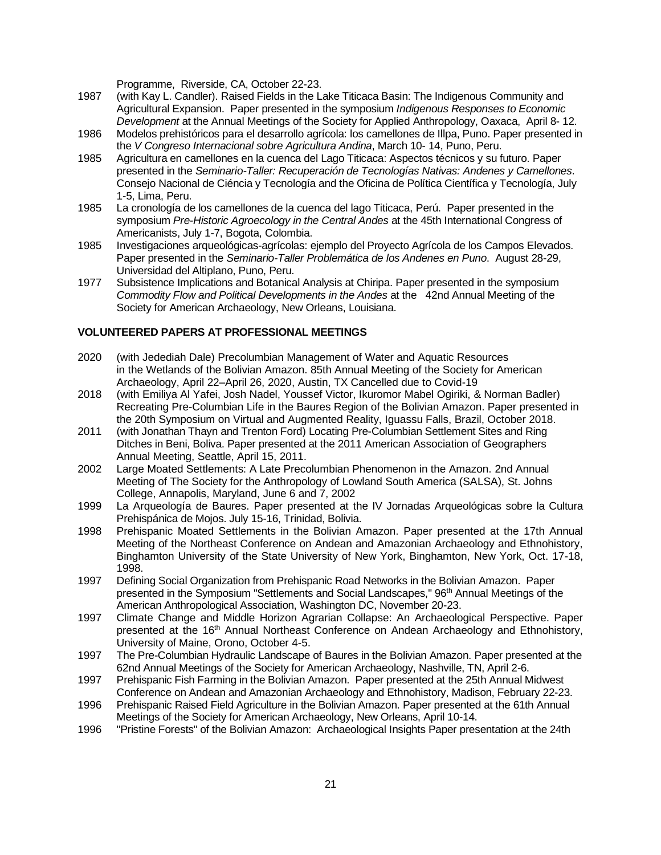Programme, Riverside, CA, October 22-23.

- 1987 (with Kay L. Candler). Raised Fields in the Lake Titicaca Basin: The Indigenous Community and Agricultural Expansion. Paper presented in the symposium *Indigenous Responses to Economic Development* at the Annual Meetings of the Society for Applied Anthropology, Oaxaca, April 8- 12.
- 1986 Modelos prehistóricos para el desarrollo agrícola: los camellones de Illpa, Puno. Paper presented in the *V Congreso Internacional sobre Agricultura Andina*, March 10- 14, Puno, Peru.
- 1985 Agricultura en camellones en la cuenca del Lago Titicaca: Aspectos técnicos y su futuro. Paper presented in the *Seminario-Taller: Recuperación de Tecnologías Nativas: Andenes y Camellones*. Consejo Nacional de Ciéncia y Tecnología and the Oficina de Política Científica y Tecnología, July 1-5, Lima, Peru.
- 1985 La cronología de los camellones de la cuenca del lago Titicaca, Perú. Paper presented in the symposium *Pre-Historic Agroecology in the Central Andes* at the 45th International Congress of Americanists, July 1-7, Bogota, Colombia.
- 1985 Investigaciones arqueológicas-agrícolas: ejemplo del Proyecto Agrícola de los Campos Elevados. Paper presented in the *Seminario-Taller Problemática de los Andenes en Puno*. August 28-29, Universidad del Altiplano, Puno, Peru.
- 1977 Subsistence Implications and Botanical Analysis at Chiripa. Paper presented in the symposium *Commodity Flow and Political Developments in the Andes* at the 42nd Annual Meeting of the Society for American Archaeology, New Orleans, Louisiana.

## **VOLUNTEERED PAPERS AT PROFESSIONAL MEETINGS**

- 2020 (with Jedediah Dale) Precolumbian Management of Water and Aquatic Resources in the Wetlands of the Bolivian Amazon. 85th Annual Meeting of the Society for American Archaeology, April 22–April 26, 2020, Austin, TX Cancelled due to Covid-19
- 2018 (with Emiliya Al Yafei, Josh Nadel, Youssef Victor, Ikuromor Mabel Ogiriki, & Norman Badler) Recreating Pre-Columbian Life in the Baures Region of the Bolivian Amazon. Paper presented in the 20th Symposium on Virtual and Augmented Reality, Iguassu Falls, Brazil, October 2018.
- 2011 (with Jonathan Thayn and Trenton Ford) Locating Pre-Columbian Settlement Sites and Ring Ditches in Beni, Boliva. Paper presented at the 2011 American Association of Geographers Annual Meeting, Seattle, April 15, 2011.
- 2002 Large Moated Settlements: A Late Precolumbian Phenomenon in the Amazon. 2nd Annual Meeting of The Society for the Anthropology of Lowland South America (SALSA), St. Johns College, Annapolis, Maryland, June 6 and 7, 2002
- 1999 La Arqueología de Baures. Paper presented at the IV Jornadas Arqueológicas sobre la Cultura Prehispánica de Mojos. July 15-16, Trinidad, Bolivia.
- 1998 Prehispanic Moated Settlements in the Bolivian Amazon. Paper presented at the 17th Annual Meeting of the Northeast Conference on Andean and Amazonian Archaeology and Ethnohistory, Binghamton University of the State University of New York, Binghamton, New York, Oct. 17-18, 1998.
- 1997 Defining Social Organization from Prehispanic Road Networks in the Bolivian Amazon. Paper presented in the Symposium "Settlements and Social Landscapes," 96<sup>th</sup> Annual Meetings of the American Anthropological Association, Washington DC, November 20-23.
- 1997 Climate Change and Middle Horizon Agrarian Collapse: An Archaeological Perspective. Paper presented at the 16<sup>th</sup> Annual Northeast Conference on Andean Archaeology and Ethnohistory, University of Maine, Orono, October 4-5.
- 1997 The Pre-Columbian Hydraulic Landscape of Baures in the Bolivian Amazon. Paper presented at the 62nd Annual Meetings of the Society for American Archaeology, Nashville, TN, April 2-6.
- 1997 Prehispanic Fish Farming in the Bolivian Amazon. Paper presented at the 25th Annual Midwest Conference on Andean and Amazonian Archaeology and Ethnohistory, Madison, February 22-23.
- 1996 Prehispanic Raised Field Agriculture in the Bolivian Amazon. Paper presented at the 61th Annual Meetings of the Society for American Archaeology, New Orleans, April 10-14.
- 1996 "Pristine Forests" of the Bolivian Amazon: Archaeological Insights Paper presentation at the 24th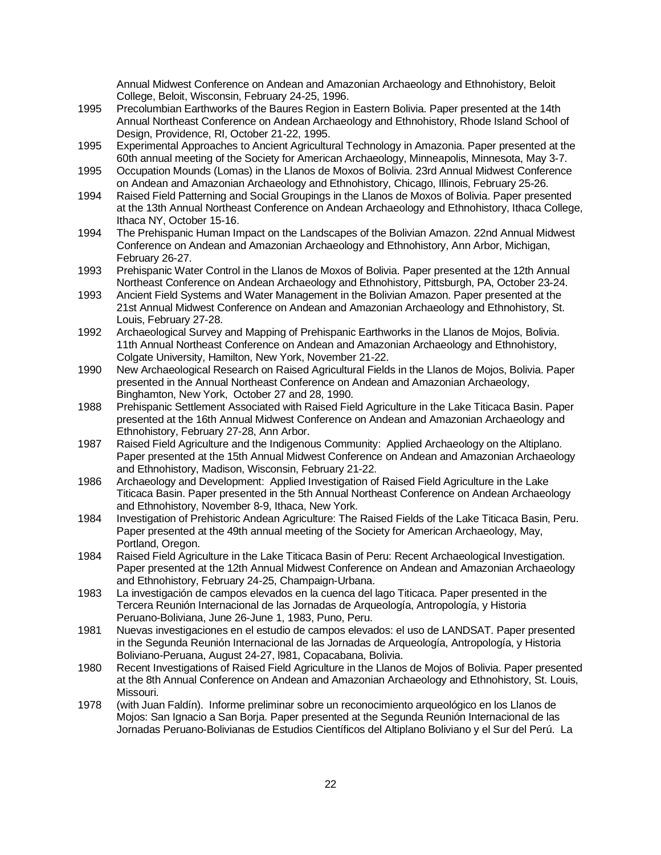Annual Midwest Conference on Andean and Amazonian Archaeology and Ethnohistory, Beloit College, Beloit, Wisconsin, February 24-25, 1996.

- 1995 Precolumbian Earthworks of the Baures Region in Eastern Bolivia. Paper presented at the 14th Annual Northeast Conference on Andean Archaeology and Ethnohistory, Rhode Island School of Design, Providence, RI, October 21-22, 1995.
- 1995 Experimental Approaches to Ancient Agricultural Technology in Amazonia. Paper presented at the 60th annual meeting of the Society for American Archaeology, Minneapolis, Minnesota, May 3-7.
- 1995 Occupation Mounds (Lomas) in the Llanos de Moxos of Bolivia. 23rd Annual Midwest Conference on Andean and Amazonian Archaeology and Ethnohistory, Chicago, Illinois, February 25-26.
- 1994 Raised Field Patterning and Social Groupings in the Llanos de Moxos of Bolivia. Paper presented at the 13th Annual Northeast Conference on Andean Archaeology and Ethnohistory, Ithaca College, Ithaca NY, October 15-16.
- 1994 The Prehispanic Human Impact on the Landscapes of the Bolivian Amazon. 22nd Annual Midwest Conference on Andean and Amazonian Archaeology and Ethnohistory, Ann Arbor, Michigan, February 26-27.
- 1993 Prehispanic Water Control in the Llanos de Moxos of Bolivia. Paper presented at the 12th Annual Northeast Conference on Andean Archaeology and Ethnohistory, Pittsburgh, PA, October 23-24.
- 1993 Ancient Field Systems and Water Management in the Bolivian Amazon. Paper presented at the 21st Annual Midwest Conference on Andean and Amazonian Archaeology and Ethnohistory, St. Louis, February 27-28.
- 1992 Archaeological Survey and Mapping of Prehispanic Earthworks in the Llanos de Mojos, Bolivia. 11th Annual Northeast Conference on Andean and Amazonian Archaeology and Ethnohistory, Colgate University, Hamilton, New York, November 21-22.
- 1990 New Archaeological Research on Raised Agricultural Fields in the Llanos de Mojos, Bolivia. Paper presented in the Annual Northeast Conference on Andean and Amazonian Archaeology, Binghamton, New York, October 27 and 28, 1990.
- 1988 Prehispanic Settlement Associated with Raised Field Agriculture in the Lake Titicaca Basin. Paper presented at the 16th Annual Midwest Conference on Andean and Amazonian Archaeology and Ethnohistory, February 27-28, Ann Arbor.
- 1987 Raised Field Agriculture and the Indigenous Community: Applied Archaeology on the Altiplano. Paper presented at the 15th Annual Midwest Conference on Andean and Amazonian Archaeology and Ethnohistory, Madison, Wisconsin, February 21-22.
- 1986 Archaeology and Development: Applied Investigation of Raised Field Agriculture in the Lake Titicaca Basin. Paper presented in the 5th Annual Northeast Conference on Andean Archaeology and Ethnohistory, November 8-9, Ithaca, New York.
- 1984 Investigation of Prehistoric Andean Agriculture: The Raised Fields of the Lake Titicaca Basin, Peru. Paper presented at the 49th annual meeting of the Society for American Archaeology, May, Portland, Oregon.
- 1984 Raised Field Agriculture in the Lake Titicaca Basin of Peru: Recent Archaeological Investigation. Paper presented at the 12th Annual Midwest Conference on Andean and Amazonian Archaeology and Ethnohistory, February 24-25, Champaign-Urbana.
- 1983 La investigación de campos elevados en la cuenca del lago Titicaca. Paper presented in the Tercera Reunión Internacional de las Jornadas de Arqueología, Antropología, y Historia Peruano-Boliviana, June 26-June 1, 1983, Puno, Peru.
- 1981 Nuevas investigaciones en el estudio de campos elevados: el uso de LANDSAT. Paper presented in the Segunda Reunión Internacional de las Jornadas de Arqueología, Antropología, y Historia Boliviano-Peruana, August 24-27, l981, Copacabana, Bolivia.
- 1980 Recent Investigations of Raised Field Agriculture in the Llanos de Mojos of Bolivia. Paper presented at the 8th Annual Conference on Andean and Amazonian Archaeology and Ethnohistory, St. Louis, Missouri.
- 1978 (with Juan Faldín). Informe preliminar sobre un reconocimiento arqueológico en los Llanos de Mojos: San Ignacio a San Borja. Paper presented at the Segunda Reunión Internacional de las Jornadas Peruano-Bolivianas de Estudios Científicos del Altiplano Boliviano y el Sur del Perú. La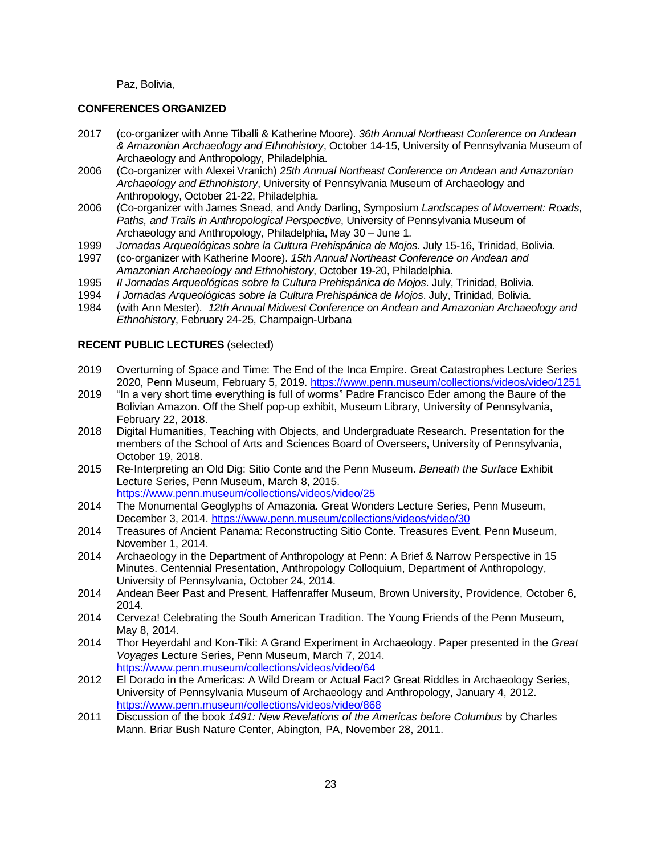Paz, Bolivia,

#### **CONFERENCES ORGANIZED**

- 2017 (co-organizer with Anne Tiballi & Katherine Moore). *36th Annual Northeast Conference on Andean & Amazonian Archaeology and Ethnohistory*, October 14-15, University of Pennsylvania Museum of Archaeology and Anthropology, Philadelphia.
- 2006 (Co-organizer with Alexei Vranich) *25th Annual Northeast Conference on Andean and Amazonian Archaeology and Ethnohistory*, University of Pennsylvania Museum of Archaeology and Anthropology, October 21-22, Philadelphia.
- 2006 (Co-organizer with James Snead, and Andy Darling, Symposium *Landscapes of Movement: Roads, Paths, and Trails in Anthropological Perspective*, University of Pennsylvania Museum of Archaeology and Anthropology, Philadelphia, May 30 – June 1.
- 1999 *Jornadas Arqueológicas sobre la Cultura Prehispánica de Mojos*. July 15-16, Trinidad, Bolivia.
- 1997 (co-organizer with Katherine Moore). *15th Annual Northeast Conference on Andean and Amazonian Archaeology and Ethnohistory*, October 19-20, Philadelphia.
- 1995 *II Jornadas Arqueológicas sobre la Cultura Prehispánica de Mojos*. July, Trinidad, Bolivia.
- 1994 *I Jornadas Arqueológicas sobre la Cultura Prehispánica de Mojos*. July, Trinidad, Bolivia.
- 1984 (with Ann Mester). *12th Annual Midwest Conference on Andean and Amazonian Archaeology and Ethnohistor*y, February 24-25, Champaign-Urbana

## **RECENT PUBLIC LECTURES** (selected)

- 2019 Overturning of Space and Time: The End of the Inca Empire. Great Catastrophes Lecture Series 2020, Penn Museum, February 5, 2019. <https://www.penn.museum/collections/videos/video/1251>
- 2019 "In a very short time everything is full of worms" Padre Francisco Eder among the Baure of the Bolivian Amazon. Off the Shelf pop-up exhibit, Museum Library, University of Pennsylvania, February 22, 2018.
- 2018 Digital Humanities, Teaching with Objects, and Undergraduate Research. Presentation for the members of the School of Arts and Sciences Board of Overseers, University of Pennsylvania, October 19, 2018.
- 2015 Re-Interpreting an Old Dig: Sitio Conte and the Penn Museum. *Beneath the Surface* Exhibit Lecture Series, Penn Museum, March 8, 2015.
	- <https://www.penn.museum/collections/videos/video/25>
- 2014 The Monumental Geoglyphs of Amazonia. Great Wonders Lecture Series, Penn Museum, December 3, 2014. <https://www.penn.museum/collections/videos/video/30>
- 2014 Treasures of Ancient Panama: Reconstructing Sitio Conte. Treasures Event, Penn Museum, November 1, 2014.
- 2014 Archaeology in the Department of Anthropology at Penn: A Brief & Narrow Perspective in 15 Minutes. Centennial Presentation, Anthropology Colloquium, Department of Anthropology, University of Pennsylvania, October 24, 2014.
- 2014 Andean Beer Past and Present, Haffenraffer Museum, Brown University, Providence, October 6, 2014.
- 2014 Cerveza! Celebrating the South American Tradition. The Young Friends of the Penn Museum, May 8, 2014.
- 2014 Thor Heyerdahl and Kon-Tiki: A Grand Experiment in Archaeology. Paper presented in the *Great Voyages* Lecture Series, Penn Museum, March 7, 2014. <https://www.penn.museum/collections/videos/video/64>
- 2012 El Dorado in the Americas: A Wild Dream or Actual Fact? Great Riddles in Archaeology Series, University of Pennsylvania Museum of Archaeology and Anthropology, January 4, 2012. <https://www.penn.museum/collections/videos/video/868>
- 2011 Discussion of the book *1491: New Revelations of the Americas before Columbus* by Charles Mann. Briar Bush Nature Center, Abington, PA, November 28, 2011.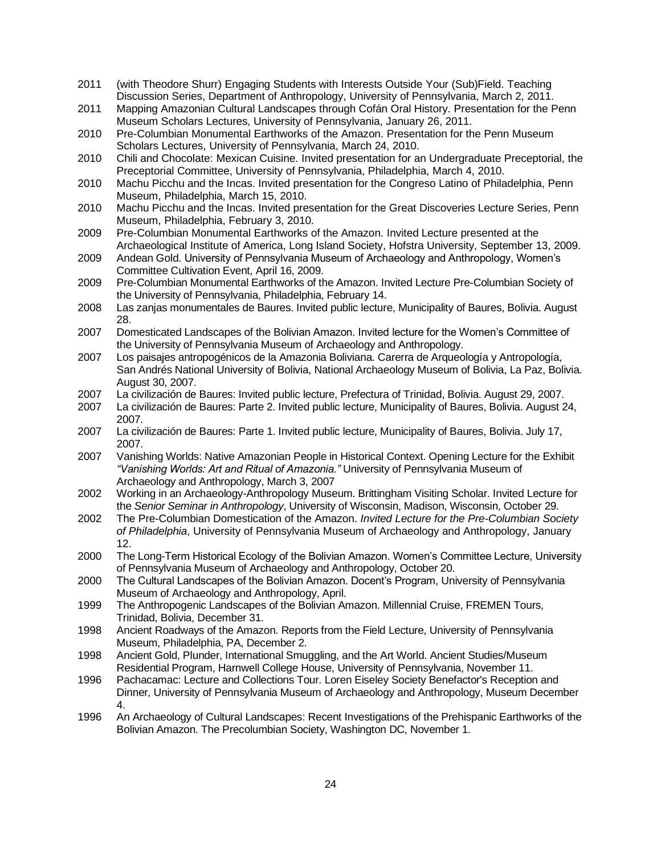- 2011 (with Theodore Shurr) Engaging Students with Interests Outside Your (Sub)Field. Teaching Discussion Series, Department of Anthropology, University of Pennsylvania, March 2, 2011.
- 2011 Mapping Amazonian Cultural Landscapes through Cofán Oral History. Presentation for the Penn Museum Scholars Lectures, University of Pennsylvania, January 26, 2011.
- 2010 Pre-Columbian Monumental Earthworks of the Amazon. Presentation for the Penn Museum Scholars Lectures, University of Pennsylvania, March 24, 2010.
- 2010 Chili and Chocolate: Mexican Cuisine. Invited presentation for an Undergraduate Preceptorial, the Preceptorial Committee, University of Pennsylvania, Philadelphia, March 4, 2010.
- 2010 Machu Picchu and the Incas. Invited presentation for the Congreso Latino of Philadelphia, Penn Museum, Philadelphia, March 15, 2010.
- 2010 Machu Picchu and the Incas. Invited presentation for the Great Discoveries Lecture Series, Penn Museum, Philadelphia, February 3, 2010.
- 2009 Pre-Columbian Monumental Earthworks of the Amazon. Invited Lecture presented at the Archaeological Institute of America, Long Island Society, Hofstra University, September 13, 2009.
- 2009 Andean Gold. University of Pennsylvania Museum of Archaeology and Anthropology, Women's Committee Cultivation Event, April 16, 2009.
- 2009 Pre-Columbian Monumental Earthworks of the Amazon. Invited Lecture Pre-Columbian Society of the University of Pennsylvania, Philadelphia, February 14.
- 2008 Las zanjas monumentales de Baures. Invited public lecture, Municipality of Baures, Bolivia. August 28.
- 2007 Domesticated Landscapes of the Bolivian Amazon. Invited lecture for the Women's Committee of the University of Pennsylvania Museum of Archaeology and Anthropology.
- 2007 Los paisajes antropogénicos de la Amazonia Boliviana. Carerra de Arqueología y Antropología, San Andrés National University of Bolivia, National Archaeology Museum of Bolivia, La Paz, Bolivia. August 30, 2007.
- 2007 La civilización de Baures: Invited public lecture, Prefectura of Trinidad, Bolivia. August 29, 2007.
- 2007 La civilización de Baures: Parte 2. Invited public lecture, Municipality of Baures, Bolivia. August 24, 2007.
- 2007 La civilización de Baures: Parte 1. Invited public lecture, Municipality of Baures, Bolivia. July 17, 2007.
- 2007 Vanishing Worlds: Native Amazonian People in Historical Context. Opening Lecture for the Exhibit *"Vanishing Worlds: Art and Ritual of Amazonia."* University of Pennsylvania Museum of Archaeology and Anthropology, March 3, 2007
- 2002 Working in an Archaeology-Anthropology Museum. Brittingham Visiting Scholar. Invited Lecture for the *Senior Seminar in Anthropology*, University of Wisconsin, Madison, Wisconsin, October 29.
- 2002 The Pre-Columbian Domestication of the Amazon. *Invited Lecture for the Pre-Columbian Society of Philadelphia*, University of Pennsylvania Museum of Archaeology and Anthropology, January 12.
- 2000 The Long-Term Historical Ecology of the Bolivian Amazon. Women's Committee Lecture, University of Pennsylvania Museum of Archaeology and Anthropology, October 20.
- 2000 The Cultural Landscapes of the Bolivian Amazon. Docent's Program, University of Pennsylvania Museum of Archaeology and Anthropology, April.
- 1999 The Anthropogenic Landscapes of the Bolivian Amazon. Millennial Cruise, FREMEN Tours, Trinidad, Bolivia, December 31.
- 1998 Ancient Roadways of the Amazon. Reports from the Field Lecture, University of Pennsylvania Museum, Philadelphia, PA, December 2.
- 1998 Ancient Gold, Plunder, International Smuggling, and the Art World. Ancient Studies/Museum Residential Program, Harnwell College House, University of Pennsylvania, November 11.
- 1996 Pachacamac: Lecture and Collections Tour. Loren Eiseley Society Benefactor's Reception and Dinner, University of Pennsylvania Museum of Archaeology and Anthropology, Museum December 4.
- 1996 An Archaeology of Cultural Landscapes: Recent Investigations of the Prehispanic Earthworks of the Bolivian Amazon. The Precolumbian Society, Washington DC, November 1.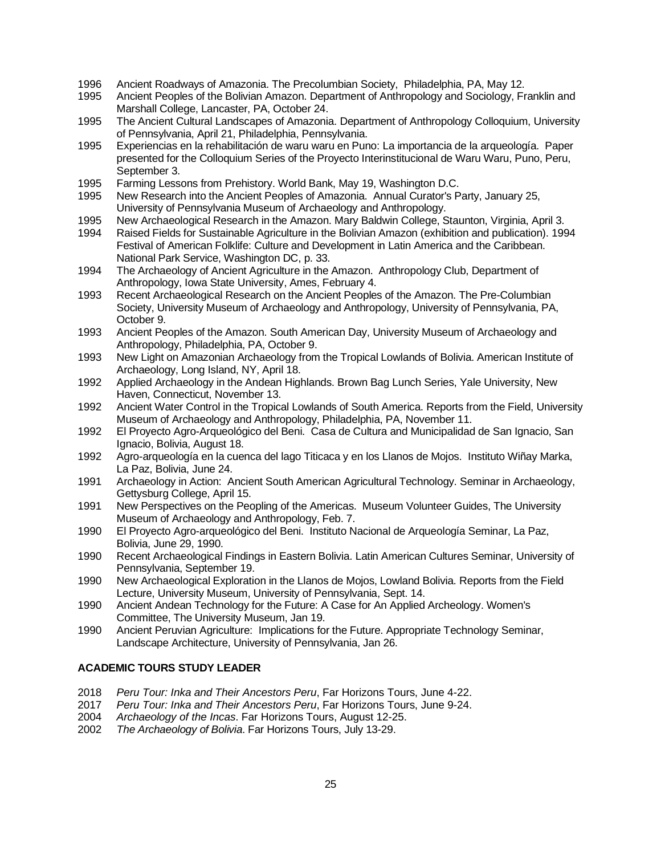- 1996 Ancient Roadways of Amazonia. The Precolumbian Society, Philadelphia, PA, May 12.
- 1995 Ancient Peoples of the Bolivian Amazon. Department of Anthropology and Sociology, Franklin and Marshall College, Lancaster, PA, October 24.
- 1995 The Ancient Cultural Landscapes of Amazonia. Department of Anthropology Colloquium, University of Pennsylvania, April 21, Philadelphia, Pennsylvania.
- 1995 Experiencias en la rehabilitación de waru waru en Puno: La importancia de la arqueología. Paper presented for the Colloquium Series of the Proyecto Interinstitucional de Waru Waru, Puno, Peru, September 3.
- 1995 Farming Lessons from Prehistory. World Bank, May 19, Washington D.C.
- 1995 New Research into the Ancient Peoples of Amazonia. Annual Curator's Party, January 25, University of Pennsylvania Museum of Archaeology and Anthropology.
- 1995 New Archaeological Research in the Amazon. Mary Baldwin College, Staunton, Virginia, April 3.
- 1994 Raised Fields for Sustainable Agriculture in the Bolivian Amazon (exhibition and publication). 1994 Festival of American Folklife: Culture and Development in Latin America and the Caribbean. National Park Service, Washington DC, p. 33.
- 1994 The Archaeology of Ancient Agriculture in the Amazon. Anthropology Club, Department of Anthropology, Iowa State University, Ames, February 4.
- 1993 Recent Archaeological Research on the Ancient Peoples of the Amazon. The Pre-Columbian Society, University Museum of Archaeology and Anthropology, University of Pennsylvania, PA, October 9.
- 1993 Ancient Peoples of the Amazon. South American Day, University Museum of Archaeology and Anthropology, Philadelphia, PA, October 9.
- 1993 New Light on Amazonian Archaeology from the Tropical Lowlands of Bolivia. American Institute of Archaeology, Long Island, NY, April 18.
- 1992 Applied Archaeology in the Andean Highlands. Brown Bag Lunch Series, Yale University, New Haven, Connecticut, November 13.
- 1992 Ancient Water Control in the Tropical Lowlands of South America. Reports from the Field, University Museum of Archaeology and Anthropology, Philadelphia, PA, November 11.
- 1992 El Proyecto Agro-Arqueológico del Beni. Casa de Cultura and Municipalidad de San Ignacio, San Ignacio, Bolivia, August 18.
- 1992 Agro-arqueología en la cuenca del lago Titicaca y en los Llanos de Mojos. Instituto Wiñay Marka, La Paz, Bolivia, June 24.
- 1991 Archaeology in Action: Ancient South American Agricultural Technology. Seminar in Archaeology, Gettysburg College, April 15.
- 1991 New Perspectives on the Peopling of the Americas. Museum Volunteer Guides, The University Museum of Archaeology and Anthropology, Feb. 7.
- 1990 El Proyecto Agro-arqueológico del Beni. Instituto Nacional de Arqueología Seminar, La Paz, Bolivia, June 29, 1990.
- 1990 Recent Archaeological Findings in Eastern Bolivia. Latin American Cultures Seminar, University of Pennsylvania, September 19.
- 1990 New Archaeological Exploration in the Llanos de Mojos, Lowland Bolivia. Reports from the Field Lecture, University Museum, University of Pennsylvania, Sept. 14.
- 1990 Ancient Andean Technology for the Future: A Case for An Applied Archeology. Women's Committee, The University Museum, Jan 19.
- 1990 Ancient Peruvian Agriculture: Implications for the Future. Appropriate Technology Seminar, Landscape Architecture, University of Pennsylvania, Jan 26.

## **ACADEMIC TOURS STUDY LEADER**

- 2018 *Peru Tour: Inka and Their Ancestors Peru*, Far Horizons Tours, June 4-22.
- 2017 *Peru Tour: Inka and Their Ancestors Peru*, Far Horizons Tours, June 9-24.
- 2004 *Archaeology of the Incas*. Far Horizons Tours, August 12-25.
- 2002 *The Archaeology of Bolivia*. Far Horizons Tours, July 13-29.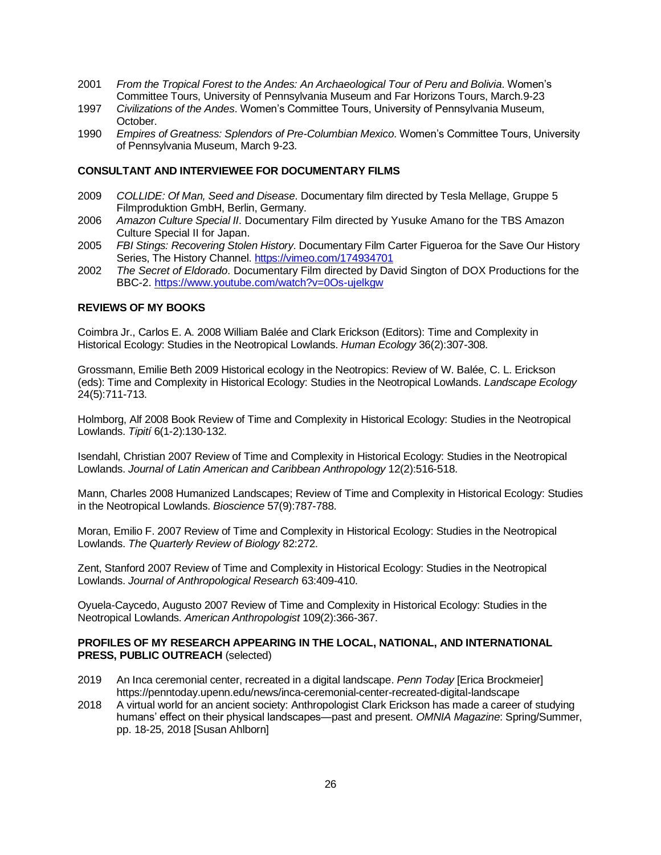- 2001 *From the Tropical Forest to the Andes: An Archaeological Tour of Peru and Bolivia*. Women's Committee Tours, University of Pennsylvania Museum and Far Horizons Tours, March.9-23
- 1997 *Civilizations of the Andes*. Women's Committee Tours, University of Pennsylvania Museum, October.
- 1990 *Empires of Greatness: Splendors of Pre-Columbian Mexico*. Women's Committee Tours, University of Pennsylvania Museum, March 9-23.

#### **CONSULTANT AND INTERVIEWEE FOR DOCUMENTARY FILMS**

- 2009 *COLLIDE: Of Man, Seed and Disease*. Documentary film directed by Tesla Mellage, Gruppe 5 Filmproduktion GmbH, Berlin, Germany.
- 2006 *Amazon Culture Special II*. Documentary Film directed by Yusuke Amano for the TBS Amazon Culture Special II for Japan.
- 2005 *FBI Stings: Recovering Stolen History*. Documentary Film Carter Figueroa for the Save Our History Series, The History Channel[. https://vimeo.com/174934701](https://vimeo.com/174934701)
- 2002 *The Secret of Eldorado*. Documentary Film directed by David Sington of DOX Productions for the BBC-2. <https://www.youtube.com/watch?v=0Os-ujelkgw>

#### **REVIEWS OF MY BOOKS**

Coimbra Jr., Carlos E. A. 2008 William Balée and Clark Erickson (Editors): Time and Complexity in Historical Ecology: Studies in the Neotropical Lowlands. *Human Ecology* 36(2):307-308.

Grossmann, Emilie Beth 2009 Historical ecology in the Neotropics: Review of W. Balée, C. L. Erickson (eds): Time and Complexity in Historical Ecology: Studies in the Neotropical Lowlands. *Landscape Ecology* 24(5):711-713.

Holmborg, Alf 2008 Book Review of Time and Complexity in Historical Ecology: Studies in the Neotropical Lowlands. *Tipití* 6(1-2):130-132.

Isendahl, Christian 2007 Review of Time and Complexity in Historical Ecology: Studies in the Neotropical Lowlands. *Journal of Latin American and Caribbean Anthropology* 12(2):516-518.

Mann, Charles 2008 Humanized Landscapes; Review of Time and Complexity in Historical Ecology: Studies in the Neotropical Lowlands. *Bioscience* 57(9):787-788.

Moran, Emilio F. 2007 Review of Time and Complexity in Historical Ecology: Studies in the Neotropical Lowlands. *The Quarterly Review of Biology* 82:272.

Zent, Stanford 2007 Review of Time and Complexity in Historical Ecology: Studies in the Neotropical Lowlands. *Journal of Anthropological Research* 63:409-410.

Oyuela-Caycedo, Augusto 2007 Review of Time and Complexity in Historical Ecology: Studies in the Neotropical Lowlands. *American Anthropologist* 109(2):366-367.

#### **PROFILES OF MY RESEARCH APPEARING IN THE LOCAL, NATIONAL, AND INTERNATIONAL PRESS, PUBLIC OUTREACH** (selected)

- 2019 An Inca ceremonial center, recreated in a digital landscape. *Penn Today* [Erica Brockmeier] https://penntoday.upenn.edu/news/inca-ceremonial-center-recreated-digital-landscape
- 2018 A virtual world for an ancient society: Anthropologist Clark Erickson has made a career of studying humans' effect on their physical landscapes—past and present. *OMNIA Magazine*: Spring/Summer, pp. 18-25, 2018 [Susan Ahlborn]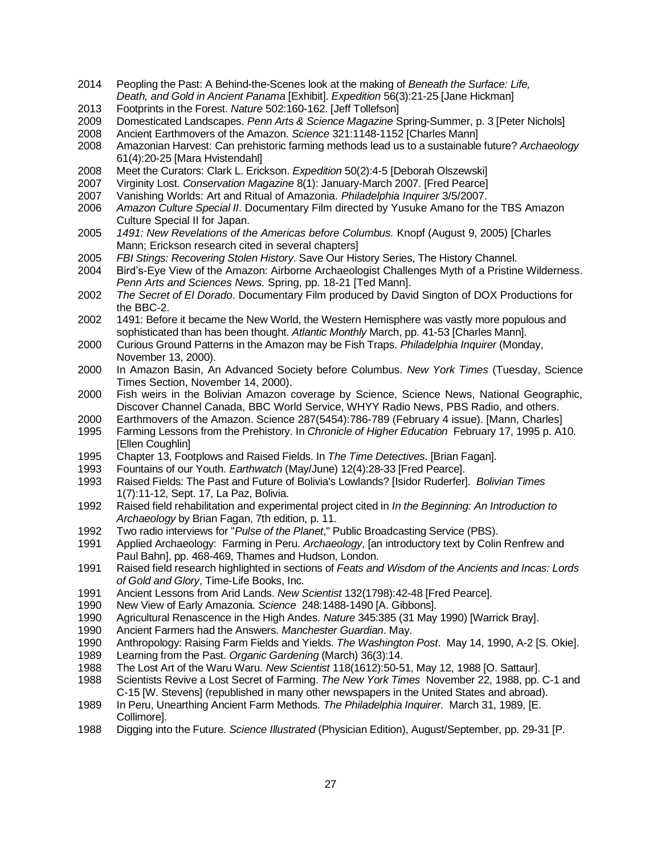- Peopling the Past: A Behind-the-Scenes look at the making of *Beneath the Surface: Life, Death, and Gold in Ancient Panama* [Exhibit]. *Expedition* 56(3):21-25 [Jane Hickman]
- Footprints in the Forest. *Nature* 502:160-162. [Jeff Tollefson]
- Domesticated Landscapes. *Penn Arts & Science Magazine* Spring-Summer, p. 3 [Peter Nichols]
- Ancient Earthmovers of the Amazon. *Science* 321:1148-1152 [Charles Mann]
- Amazonian Harvest: Can prehistoric farming methods lead us to a sustainable future? *Archaeology* 61(4):20-25 [Mara Hvistendahl]
- Meet the Curators: Clark L. Erickson. *Expedition* 50(2):4-5 [Deborah Olszewski]
- Virginity Lost. *Conservation Magazine* 8(1): January-March 2007. [Fred Pearce]
- Vanishing Worlds: Art and Ritual of Amazonia. *Philadelphia Inquirer* 3/5/2007.
- *Amazon Culture Special II*. Documentary Film directed by Yusuke Amano for the TBS Amazon Culture Special II for Japan.
- *1491: New Revelations of the Americas before Columbus.* Knopf (August 9, 2005) [Charles Mann; Erickson research cited in several chapters]
- *FBI Stings: Recovering Stolen History*. Save Our History Series, The History Channel.
- Bird's-Eye View of the Amazon: Airborne Archaeologist Challenges Myth of a Pristine Wilderness. *Penn Arts and Sciences News.* Spring, pp. 18-21 [Ted Mann].
- *The Secret of El Dorado*. Documentary Film produced by David Sington of DOX Productions for the BBC-2.
- 1491: Before it became the New World, the Western Hemisphere was vastly more populous and sophisticated than has been thought. *Atlantic Monthly* March, pp. 41-53 [Charles Mann].
- Curious Ground Patterns in the Amazon may be Fish Traps. *Philadelphia Inquirer* (Monday, November 13, 2000).
- In Amazon Basin, An Advanced Society before Columbus. *New York Times* (Tuesday, Science Times Section, November 14, 2000).
- Fish weirs in the Bolivian Amazon coverage by Science, Science News, National Geographic, Discover Channel Canada, BBC World Service, WHYY Radio News, PBS Radio, and others.
- Earthmovers of the Amazon. Science 287(5454):786-789 (February 4 issue). [Mann, Charles]
- Farming Lessons from the Prehistory. In *Chronicle of Higher Education* February 17, 1995 p. A10. [Ellen Coughlin]
- Chapter 13, Footplows and Raised Fields. In *The Time Detectives*. [Brian Fagan].
- Fountains of our Youth. *Earthwatch* (May/June) 12(4):28-33 [Fred Pearce].
- Raised Fields: The Past and Future of Bolivia's Lowlands? [Isidor Ruderfer]. *Bolivian Times* 1(7):11-12, Sept. 17, La Paz, Bolivia.
- Raised field rehabilitation and experimental project cited in *In the Beginning: An Introduction to Archaeology* by Brian Fagan, 7th edition, p. 11.
- Two radio interviews for "*Pulse of the Planet*," Public Broadcasting Service (PBS).
- Applied Archaeology: Farming in Peru. *Archaeology*, [an introductory text by Colin Renfrew and Paul Bahn], pp. 468-469, Thames and Hudson, London.
- Raised field research highlighted in sections of *Feats and Wisdom of the Ancients and Incas: Lords of Gold and Glory*, Time-Life Books, Inc.
- Ancient Lessons from Arid Lands. *New Scientist* 132(1798):42-48 [Fred Pearce].
- New View of Early Amazonia. *Science* 248:1488-1490 [A. Gibbons].
- Agricultural Renascence in the High Andes. *Nature* 345:385 (31 May 1990) [Warrick Bray].
- Ancient Farmers had the Answers. *Manchester Guardian*. May.
- Anthropology: Raising Farm Fields and Yields. *The Washington Post*. May 14, 1990, A-2 [S. Okie].
- Learning from the Past. *Organic Gardening* (March) 36(3):14.
- The Lost Art of the Waru Waru. *New Scientist* 118(1612):50-51, May 12, 1988 [O. Sattaur].
- Scientists Revive a Lost Secret of Farming. *The New York Times* November 22, 1988, pp. C-1 and C-15 [W. Stevens] (republished in many other newspapers in the United States and abroad).
- In Peru, Unearthing Ancient Farm Methods. *The Philadelphia Inquirer*. March 31, 1989, [E. Collimore].
- Digging into the Future. *Science Illustrated* (Physician Edition), August/September, pp. 29-31 [P.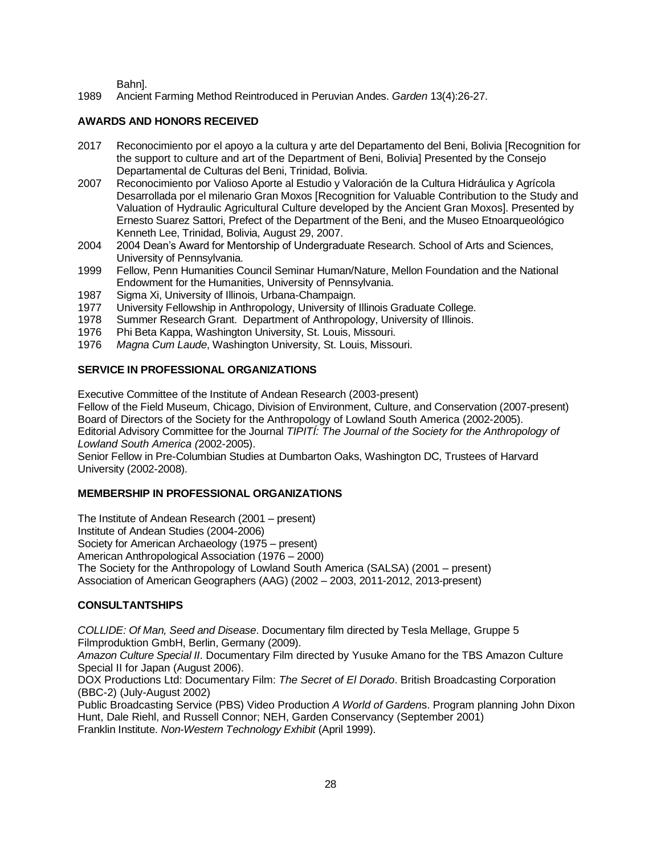Bahn].

1989 Ancient Farming Method Reintroduced in Peruvian Andes. *Garden* 13(4):26-27.

## **AWARDS AND HONORS RECEIVED**

- 2017 Reconocimiento por el apoyo a la cultura y arte del Departamento del Beni, Bolivia [Recognition for the support to culture and art of the Department of Beni, Bolivia] Presented by the Consejo Departamental de Culturas del Beni, Trinidad, Bolivia.
- 2007 Reconocimiento por Valioso Aporte al Estudio y Valoración de la Cultura Hidráulica y Agrícola Desarrollada por el milenario Gran Moxos [Recognition for Valuable Contribution to the Study and Valuation of Hydraulic Agricultural Culture developed by the Ancient Gran Moxos]. Presented by Ernesto Suarez Sattori, Prefect of the Department of the Beni, and the Museo Etnoarqueológico Kenneth Lee, Trinidad, Bolivia, August 29, 2007.
- 2004 2004 Dean's Award for Mentorship of Undergraduate Research. School of Arts and Sciences, University of Pennsylvania.
- 1999 Fellow, Penn Humanities Council Seminar Human/Nature, Mellon Foundation and the National Endowment for the Humanities, University of Pennsylvania.
- 1987 Sigma Xi, University of Illinois, Urbana-Champaign.
- 1977 University Fellowship in Anthropology, University of Illinois Graduate College.
- 1978 Summer Research Grant. Department of Anthropology, University of Illinois.
- 1976 Phi Beta Kappa, Washington University, St. Louis, Missouri.
- 1976 *Magna Cum Laude*, Washington University, St. Louis, Missouri.

## **SERVICE IN PROFESSIONAL ORGANIZATIONS**

Executive Committee of the Institute of Andean Research (2003-present) Fellow of the Field Museum, Chicago, Division of Environment, Culture, and Conservation (2007-present) Board of Directors of the Society for the Anthropology of Lowland South America (2002-2005). Editorial Advisory Committee for the Journal *TIPITÍ: The Journal of the Society for the Anthropology of Lowland South America (*2002-2005).

Senior Fellow in Pre-Columbian Studies at Dumbarton Oaks, Washington DC, Trustees of Harvard University (2002-2008).

#### **MEMBERSHIP IN PROFESSIONAL ORGANIZATIONS**

The Institute of Andean Research (2001 – present) Institute of Andean Studies (2004-2006) Society for American Archaeology (1975 – present) American Anthropological Association (1976 – 2000) The Society for the Anthropology of Lowland South America (SALSA) (2001 – present) Association of American Geographers (AAG) (2002 – 2003, 2011-2012, 2013-present)

## **CONSULTANTSHIPS**

*COLLIDE: Of Man, Seed and Disease*. Documentary film directed by Tesla Mellage, Gruppe 5 Filmproduktion GmbH, Berlin, Germany (2009).

*Amazon Culture Special II*. Documentary Film directed by Yusuke Amano for the TBS Amazon Culture Special II for Japan (August 2006).

DOX Productions Ltd: Documentary Film: *The Secret of El Dorado*. British Broadcasting Corporation (BBC-2) (July-August 2002)

Public Broadcasting Service (PBS) Video Production *A World of Garden*s. Program planning John Dixon Hunt, Dale Riehl, and Russell Connor; NEH, Garden Conservancy (September 2001) Franklin Institute. *Non-Western Technology Exhibit* (April 1999).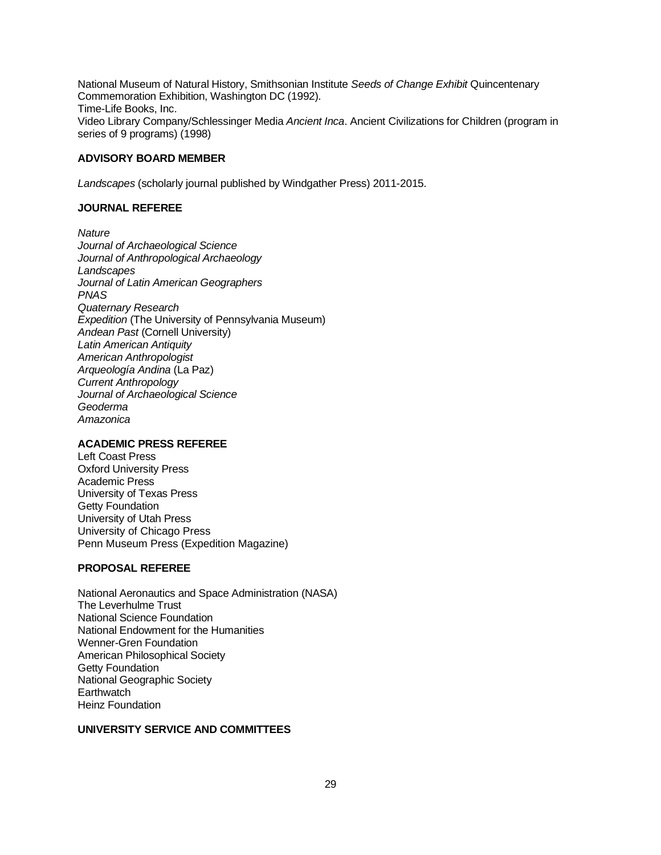National Museum of Natural History, Smithsonian Institute *Seeds of Change Exhibit* Quincentenary Commemoration Exhibition, Washington DC (1992). Time-Life Books, Inc. Video Library Company/Schlessinger Media *Ancient Inca*. Ancient Civilizations for Children (program in series of 9 programs) (1998)

#### **ADVISORY BOARD MEMBER**

*Landscapes* (scholarly journal published by Windgather Press) 2011-2015.

#### **JOURNAL REFEREE**

*Nature Journal of Archaeological Science Journal of Anthropological Archaeology Landscapes Journal of Latin American Geographers PNAS Quaternary Research Expedition* (The University of Pennsylvania Museum) *Andean Past* (Cornell University) *Latin American Antiquity American Anthropologist Arqueología Andina* (La Paz) *Current Anthropology Journal of Archaeological Science Geoderma Amazonica*

#### **ACADEMIC PRESS REFEREE**

Left Coast Press Oxford University Press Academic Press University of Texas Press Getty Foundation University of Utah Press University of Chicago Press Penn Museum Press (Expedition Magazine)

#### **PROPOSAL REFEREE**

National Aeronautics and Space Administration (NASA) The Leverhulme Trust National Science Foundation National Endowment for the Humanities Wenner-Gren Foundation American Philosophical Society Getty Foundation National Geographic Society **Earthwatch** Heinz Foundation

## **UNIVERSITY SERVICE AND COMMITTEES**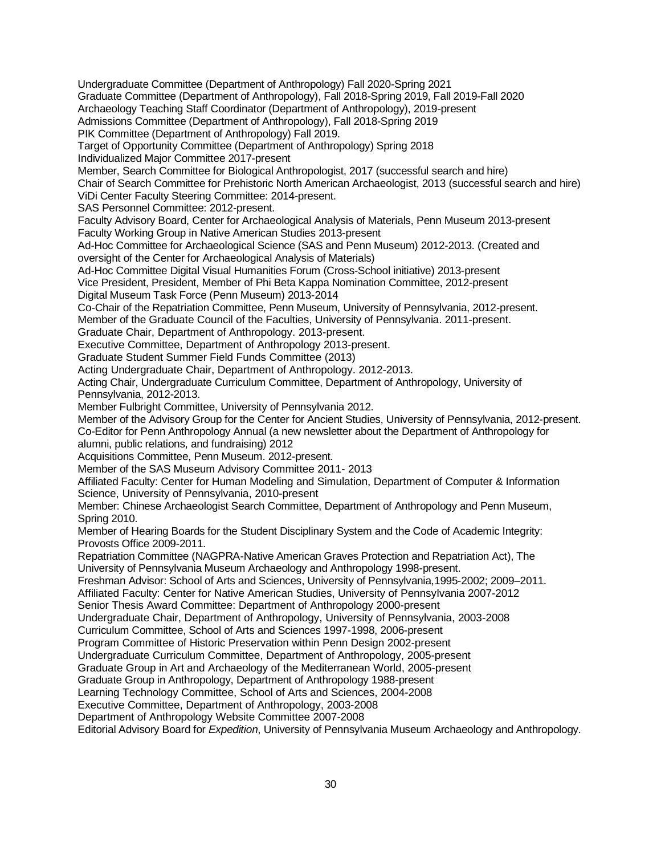Undergraduate Committee (Department of Anthropology) Fall 2020-Spring 2021 Graduate Committee (Department of Anthropology), Fall 2018-Spring 2019, Fall 2019-Fall 2020 Archaeology Teaching Staff Coordinator (Department of Anthropology), 2019-present Admissions Committee (Department of Anthropology), Fall 2018-Spring 2019 PIK Committee (Department of Anthropology) Fall 2019. Target of Opportunity Committee (Department of Anthropology) Spring 2018 Individualized Major Committee 2017-present Member, Search Committee for Biological Anthropologist, 2017 (successful search and hire) Chair of Search Committee for Prehistoric North American Archaeologist, 2013 (successful search and hire) ViDi Center Faculty Steering Committee: 2014-present. SAS Personnel Committee: 2012-present. Faculty Advisory Board, Center for Archaeological Analysis of Materials, Penn Museum 2013-present Faculty Working Group in Native American Studies 2013-present Ad-Hoc Committee for Archaeological Science (SAS and Penn Museum) 2012-2013. (Created and oversight of the Center for Archaeological Analysis of Materials) Ad-Hoc Committee Digital Visual Humanities Forum (Cross-School initiative) 2013-present Vice President, President, Member of Phi Beta Kappa Nomination Committee, 2012-present Digital Museum Task Force (Penn Museum) 2013-2014 Co-Chair of the Repatriation Committee, Penn Museum, University of Pennsylvania, 2012-present. Member of the Graduate Council of the Faculties, University of Pennsylvania. 2011-present. Graduate Chair, Department of Anthropology. 2013-present. Executive Committee, Department of Anthropology 2013-present. Graduate Student Summer Field Funds Committee (2013) Acting Undergraduate Chair, Department of Anthropology. 2012-2013. Acting Chair, Undergraduate Curriculum Committee, Department of Anthropology, University of Pennsylvania, 2012-2013. Member Fulbright Committee, University of Pennsylvania 2012. Member of the Advisory Group for the Center for Ancient Studies, University of Pennsylvania, 2012-present. Co-Editor for Penn Anthropology Annual (a new newsletter about the Department of Anthropology for alumni, public relations, and fundraising) 2012 Acquisitions Committee, Penn Museum. 2012-present. Member of the SAS Museum Advisory Committee 2011- 2013 Affiliated Faculty: Center for Human Modeling and Simulation, Department of Computer & Information Science, University of Pennsylvania, 2010-present Member: Chinese Archaeologist Search Committee, Department of Anthropology and Penn Museum, Spring 2010. Member of Hearing Boards for the Student Disciplinary System and the Code of Academic Integrity: Provosts Office 2009-2011. Repatriation Committee (NAGPRA-Native American Graves Protection and Repatriation Act), The University of Pennsylvania Museum Archaeology and Anthropology 1998-present. Freshman Advisor: School of Arts and Sciences, University of Pennsylvania,1995-2002; 2009–2011. Affiliated Faculty: Center for Native American Studies, University of Pennsylvania 2007-2012 Senior Thesis Award Committee: Department of Anthropology 2000-present Undergraduate Chair, Department of Anthropology, University of Pennsylvania, 2003-2008 Curriculum Committee, School of Arts and Sciences 1997-1998, 2006-present Program Committee of Historic Preservation within Penn Design 2002-present Undergraduate Curriculum Committee, Department of Anthropology, 2005-present Graduate Group in Art and Archaeology of the Mediterranean World, 2005-present Graduate Group in Anthropology, Department of Anthropology 1988-present Learning Technology Committee, School of Arts and Sciences, 2004-2008 Executive Committee, Department of Anthropology, 2003-2008 Department of Anthropology Website Committee 2007-2008 Editorial Advisory Board for *Expedition*, University of Pennsylvania Museum Archaeology and Anthropology.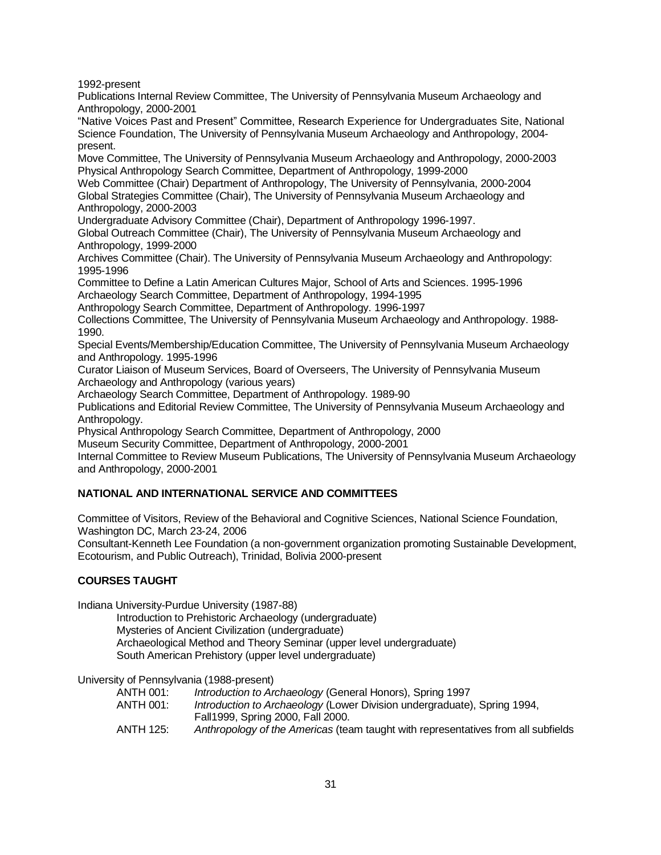1992-present

Publications Internal Review Committee, The University of Pennsylvania Museum Archaeology and Anthropology, 2000-2001

"Native Voices Past and Present" Committee, Research Experience for Undergraduates Site, National Science Foundation, The University of Pennsylvania Museum Archaeology and Anthropology, 2004 present.

Move Committee, The University of Pennsylvania Museum Archaeology and Anthropology, 2000-2003 Physical Anthropology Search Committee, Department of Anthropology, 1999-2000

Web Committee (Chair) Department of Anthropology, The University of Pennsylvania, 2000-2004 Global Strategies Committee (Chair), The University of Pennsylvania Museum Archaeology and Anthropology, 2000-2003

Undergraduate Advisory Committee (Chair), Department of Anthropology 1996-1997.

Global Outreach Committee (Chair), The University of Pennsylvania Museum Archaeology and Anthropology, 1999-2000

Archives Committee (Chair). The University of Pennsylvania Museum Archaeology and Anthropology: 1995-1996

Committee to Define a Latin American Cultures Major, School of Arts and Sciences. 1995-1996 Archaeology Search Committee, Department of Anthropology, 1994-1995

Anthropology Search Committee, Department of Anthropology. 1996-1997

Collections Committee, The University of Pennsylvania Museum Archaeology and Anthropology. 1988- 1990.

Special Events/Membership/Education Committee, The University of Pennsylvania Museum Archaeology and Anthropology. 1995-1996

Curator Liaison of Museum Services, Board of Overseers, The University of Pennsylvania Museum Archaeology and Anthropology (various years)

Archaeology Search Committee, Department of Anthropology. 1989-90

Publications and Editorial Review Committee, The University of Pennsylvania Museum Archaeology and Anthropology.

Physical Anthropology Search Committee, Department of Anthropology, 2000

Museum Security Committee, Department of Anthropology, 2000-2001

Internal Committee to Review Museum Publications, The University of Pennsylvania Museum Archaeology and Anthropology, 2000-2001

## **NATIONAL AND INTERNATIONAL SERVICE AND COMMITTEES**

Committee of Visitors, Review of the Behavioral and Cognitive Sciences, National Science Foundation, Washington DC, March 23-24, 2006

Consultant-Kenneth Lee Foundation (a non-government organization promoting Sustainable Development, Ecotourism, and Public Outreach), Trinidad, Bolivia 2000-present

## **COURSES TAUGHT**

Indiana University-Purdue University (1987-88)

Introduction to Prehistoric Archaeology (undergraduate) Mysteries of Ancient Civilization (undergraduate) Archaeological Method and Theory Seminar (upper level undergraduate) South American Prehistory (upper level undergraduate)

University of Pennsylvania (1988-present)

- ANTH 001: *Introduction to Archaeology* (General Honors), Spring 1997
- ANTH 001: *Introduction to Archaeology* (Lower Division undergraduate), Spring 1994, Fall1999, Spring 2000, Fall 2000.
- ANTH 125: *Anthropology of the Americas* (team taught with representatives from all subfields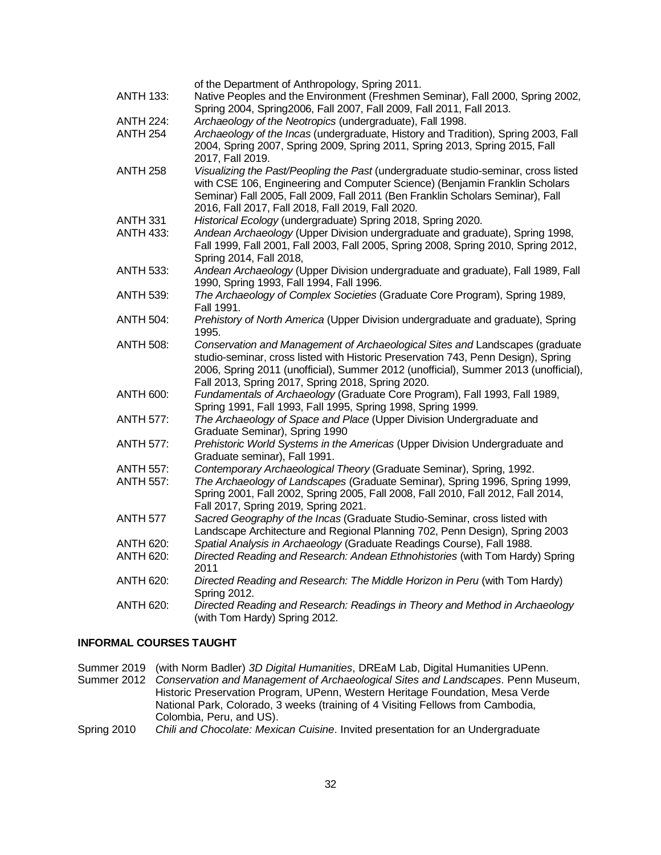|                  | of the Department of Anthropology, Spring 2011.                                     |
|------------------|-------------------------------------------------------------------------------------|
| <b>ANTH 133:</b> | Native Peoples and the Environment (Freshmen Seminar), Fall 2000, Spring 2002,      |
|                  | Spring 2004, Spring 2006, Fall 2007, Fall 2009, Fall 2011, Fall 2013.               |
| <b>ANTH 224:</b> | Archaeology of the Neotropics (undergraduate), Fall 1998.                           |
| <b>ANTH 254</b>  | Archaeology of the Incas (undergraduate, History and Tradition), Spring 2003, Fall  |
|                  | 2004, Spring 2007, Spring 2009, Spring 2011, Spring 2013, Spring 2015, Fall         |
|                  | 2017, Fall 2019.                                                                    |
| <b>ANTH 258</b>  | Visualizing the Past/Peopling the Past (undergraduate studio-seminar, cross listed  |
|                  | with CSE 106, Engineering and Computer Science) (Benjamin Franklin Scholars         |
|                  | Seminar) Fall 2005, Fall 2009, Fall 2011 (Ben Franklin Scholars Seminar), Fall      |
|                  | 2016, Fall 2017, Fall 2018, Fall 2019, Fall 2020.                                   |
| <b>ANTH 331</b>  | Historical Ecology (undergraduate) Spring 2018, Spring 2020.                        |
| <b>ANTH 433:</b> | Andean Archaeology (Upper Division undergraduate and graduate), Spring 1998,        |
|                  | Fall 1999, Fall 2001, Fall 2003, Fall 2005, Spring 2008, Spring 2010, Spring 2012,  |
|                  | Spring 2014, Fall 2018,                                                             |
| ANTH 533:        | Andean Archaeology (Upper Division undergraduate and graduate), Fall 1989, Fall     |
|                  | 1990, Spring 1993, Fall 1994, Fall 1996.                                            |
| ANTH 539:        | The Archaeology of Complex Societies (Graduate Core Program), Spring 1989,          |
|                  | Fall 1991.                                                                          |
| <b>ANTH 504:</b> | Prehistory of North America (Upper Division undergraduate and graduate), Spring     |
|                  | 1995.                                                                               |
| <b>ANTH 508:</b> | Conservation and Management of Archaeological Sites and Landscapes (graduate        |
|                  | studio-seminar, cross listed with Historic Preservation 743, Penn Design), Spring   |
|                  | 2006, Spring 2011 (unofficial), Summer 2012 (unofficial), Summer 2013 (unofficial), |
|                  | Fall 2013, Spring 2017, Spring 2018, Spring 2020.                                   |
| <b>ANTH 600:</b> | Fundamentals of Archaeology (Graduate Core Program), Fall 1993, Fall 1989,          |
|                  | Spring 1991, Fall 1993, Fall 1995, Spring 1998, Spring 1999.                        |
| <b>ANTH 577:</b> | The Archaeology of Space and Place (Upper Division Undergraduate and                |
|                  | Graduate Seminar), Spring 1990                                                      |
| <b>ANTH 577:</b> | Prehistoric World Systems in the Americas (Upper Division Undergraduate and         |
|                  | Graduate seminar), Fall 1991.                                                       |
| <b>ANTH 557:</b> | Contemporary Archaeological Theory (Graduate Seminar), Spring, 1992.                |
| <b>ANTH 557:</b> | The Archaeology of Landscapes (Graduate Seminar), Spring 1996, Spring 1999,         |
|                  | Spring 2001, Fall 2002, Spring 2005, Fall 2008, Fall 2010, Fall 2012, Fall 2014,    |
|                  | Fall 2017, Spring 2019, Spring 2021.                                                |
| <b>ANTH 577</b>  | Sacred Geography of the Incas (Graduate Studio-Seminar, cross listed with           |
|                  | Landscape Architecture and Regional Planning 702, Penn Design), Spring 2003         |
| ANTH 620:        | Spatial Analysis in Archaeology (Graduate Readings Course), Fall 1988.              |
| <b>ANTH 620:</b> | Directed Reading and Research: Andean Ethnohistories (with Tom Hardy) Spring        |
|                  | 2011                                                                                |
| <b>ANTH 620:</b> | Directed Reading and Research: The Middle Horizon in Peru (with Tom Hardy)          |
|                  | Spring 2012.                                                                        |
| <b>ANTH 620:</b> | Directed Reading and Research: Readings in Theory and Method in Archaeology         |
|                  | (with Tom Hardy) Spring 2012.                                                       |
|                  |                                                                                     |

## **INFORMAL COURSES TAUGHT**

Summer 2019 (with Norm Badler) *3D Digital Humanities*, DREaM Lab, Digital Humanities UPenn. Summer 2012 *Conservation and Management of Archaeological Sites and Landscapes*. Penn Museum, Historic Preservation Program, UPenn, Western Heritage Foundation, Mesa Verde National Park, Colorado, 3 weeks (training of 4 Visiting Fellows from Cambodia, Colombia, Peru, and US). Spring 2010 *Chili and Chocolate: Mexican Cuisine*. Invited presentation for an Undergraduate

32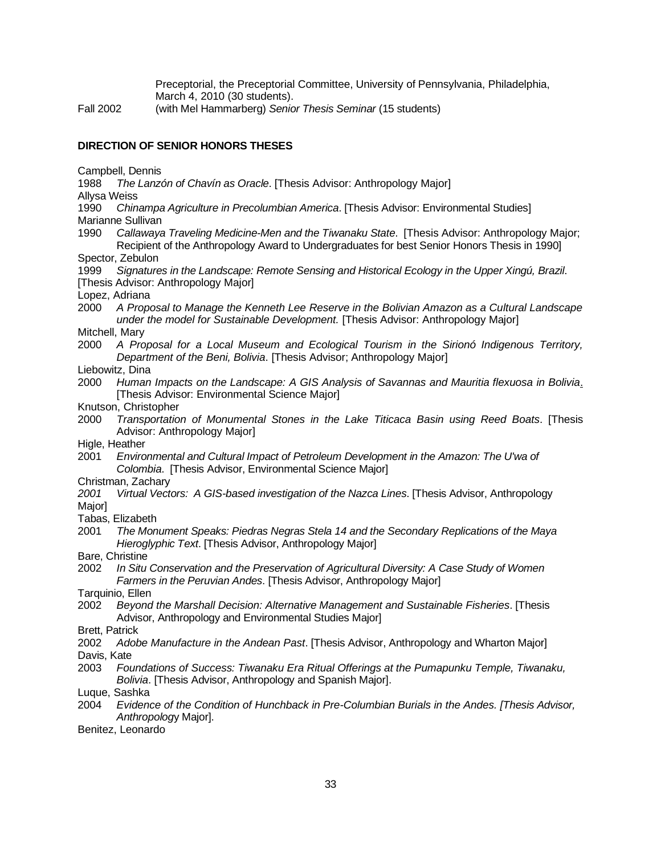Preceptorial, the Preceptorial Committee, University of Pennsylvania, Philadelphia, March 4, 2010 (30 students).

Fall 2002 (with Mel Hammarberg) *Senior Thesis Seminar* (15 students)

## **DIRECTION OF SENIOR HONORS THESES**

Campbell, Dennis

1988 *The Lanzón of Chavín as Oracle*. [Thesis Advisor: Anthropology Major] Allysa Weiss

1990 *Chinampa Agriculture in Precolumbian America*. [Thesis Advisor: Environmental Studies] Marianne Sullivan

1990 *Callawaya Traveling Medicine-Men and the Tiwanaku State*. [Thesis Advisor: Anthropology Major; Recipient of the Anthropology Award to Undergraduates for best Senior Honors Thesis in 1990]

Spector, Zebulon

1999 *Signatures in the Landscape: Remote Sensing and Historical Ecology in the Upper Xingú, Brazil*. [Thesis Advisor: Anthropology Major]

Lopez, Adriana

2000 *A Proposal to Manage the Kenneth Lee Reserve in the Bolivian Amazon as a Cultural Landscape under the model for Sustainable Development.* [Thesis Advisor: Anthropology Major]

Mitchell, Mary

- 2000 *A Proposal for a Local Museum and Ecological Tourism in the Sirionó Indigenous Territory, Department of the Beni, Bolivia*. [Thesis Advisor; Anthropology Major]
- Liebowitz, Dina
- 2000 *Human Impacts on the Landscape: A GIS Analysis of Savannas and Mauritia flexuosa in Bolivia*. [Thesis Advisor: Environmental Science Major]
- Knutson, Christopher
- 2000 *Transportation of Monumental Stones in the Lake Titicaca Basin using Reed Boats*. [Thesis Advisor: Anthropology Major]
- Higle, Heather
- 2001 *Environmental and Cultural Impact of Petroleum Development in the Amazon: The U'wa of Colombia*. [Thesis Advisor, Environmental Science Major]
- Christman, Zachary

*2001 Virtual Vectors: A GIS-based investigation of the Nazca Lines*. [Thesis Advisor, Anthropology Major]

- Tabas, Elizabeth
- 2001 *The Monument Speaks: Piedras Negras Stela 14 and the Secondary Replications of the Maya Hieroglyphic Text*. [Thesis Advisor, Anthropology Major]
- Bare, Christine
- 2002 *In Situ Conservation and the Preservation of Agricultural Diversity: A Case Study of Women Farmers in the Peruvian Andes*. [Thesis Advisor, Anthropology Major]

Tarquinio, Ellen

2002 *Beyond the Marshall Decision: Alternative Management and Sustainable Fisheries*. [Thesis Advisor, Anthropology and Environmental Studies Major]

Brett, Patrick

- 2002 *Adobe Manufacture in the Andean Past*. [Thesis Advisor, Anthropology and Wharton Major] Davis, Kate
- 2003 *Foundations of Success: Tiwanaku Era Ritual Offerings at the Pumapunku Temple, Tiwanaku, Bolivia*. [Thesis Advisor, Anthropology and Spanish Major].
- Luque, Sashka
- 2004 *Evidence of the Condition of Hunchback in Pre-Columbian Burials in the Andes. [Thesis Advisor, Anthropolog*y Major].
- Benitez, Leonardo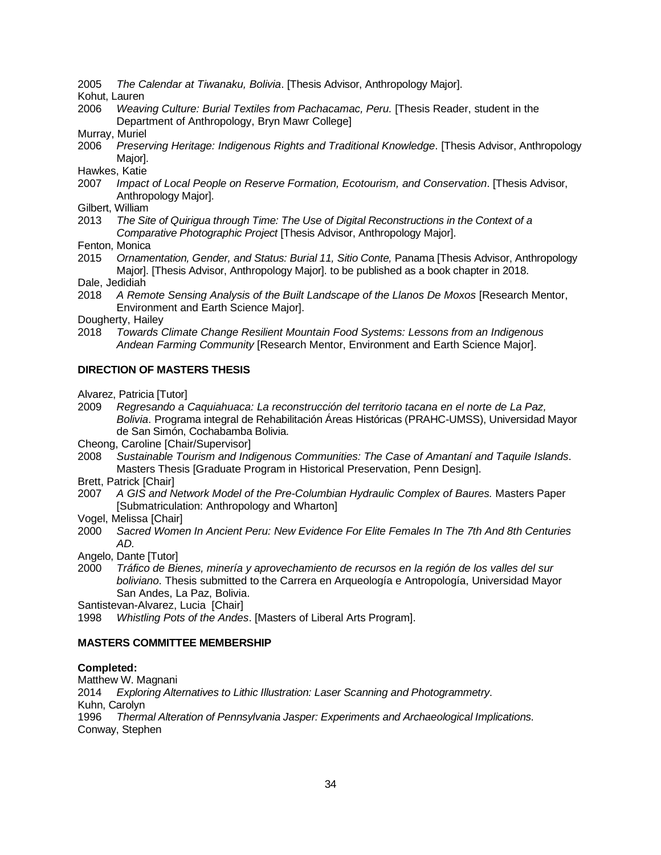- 2005 *The Calendar at Tiwanaku, Bolivia*. [Thesis Advisor, Anthropology Major].
- Kohut, Lauren
- 2006 *Weaving Culture: Burial Textiles from Pachacamac, Peru.* [Thesis Reader, student in the Department of Anthropology, Bryn Mawr College]
- Murray, Muriel
- 2006 *Preserving Heritage: Indigenous Rights and Traditional Knowledge*. [Thesis Advisor, Anthropology Major].

Hawkes, Katie

- 2007 *Impact of Local People on Reserve Formation, Ecotourism, and Conservation*. [Thesis Advisor, Anthropology Major].
- Gilbert, William
- 2013 *The Site of Quirigua through Time: The Use of Digital Reconstructions in the Context of a Comparative Photographic Project* [Thesis Advisor, Anthropology Major].
- Fenton, Monica
- 2015 *Ornamentation, Gender, and Status: Burial 11, Sitio Conte,* Panama [Thesis Advisor, Anthropology Major]. [Thesis Advisor, Anthropology Major]. to be published as a book chapter in 2018.
- Dale, Jedidiah
- 2018 *A Remote Sensing Analysis of the Built Landscape of the Llanos De Moxos* [Research Mentor, Environment and Earth Science Major].
- Dougherty, Hailey
- 2018 *Towards Climate Change Resilient Mountain Food Systems: Lessons from an Indigenous Andean Farming Community* [Research Mentor, Environment and Earth Science Major].

#### **DIRECTION OF MASTERS THESIS**

Alvarez, Patricia [Tutor]

- 2009 *Regresando a Caquiahuaca: La reconstrucción del territorio tacana en el norte de La Paz, Bolivia*. Programa integral de Rehabilitación Áreas Históricas (PRAHC-UMSS), Universidad Mayor de San Simón, Cochabamba Bolivia.
- Cheong, Caroline [Chair/Supervisor]
- 2008 *Sustainable Tourism and Indigenous Communities: The Case of Amantaní and Taquile Islands*. Masters Thesis [Graduate Program in Historical Preservation, Penn Design].
- Brett, Patrick [Chair]
- 2007 *A GIS and Network Model of the Pre-Columbian Hydraulic Complex of Baures.* Masters Paper [Submatriculation: Anthropology and Wharton]
- Vogel, Melissa [Chair]
- 2000 *Sacred Women In Ancient Peru: New Evidence For Elite Females In The 7th And 8th Centuries AD.*
- Angelo, Dante [Tutor]
- 2000 *Tráfico de Bienes, minería y aprovechamiento de recursos en la región de los valles del sur boliviano*. Thesis submitted to the Carrera en Arqueología e Antropología, Universidad Mayor San Andes, La Paz, Bolivia.

Santistevan-Alvarez, Lucia [Chair]

1998 *Whistling Pots of the Andes*. [Masters of Liberal Arts Program].

#### **MASTERS COMMITTEE MEMBERSHIP**

#### **Completed:**

Matthew W. Magnani 2014 *Exploring Alternatives to Lithic Illustration: Laser Scanning and Photogrammetry*. Kuhn, Carolyn 1996 *Thermal Alteration of Pennsylvania Jasper: Experiments and Archaeological Implications*. Conway, Stephen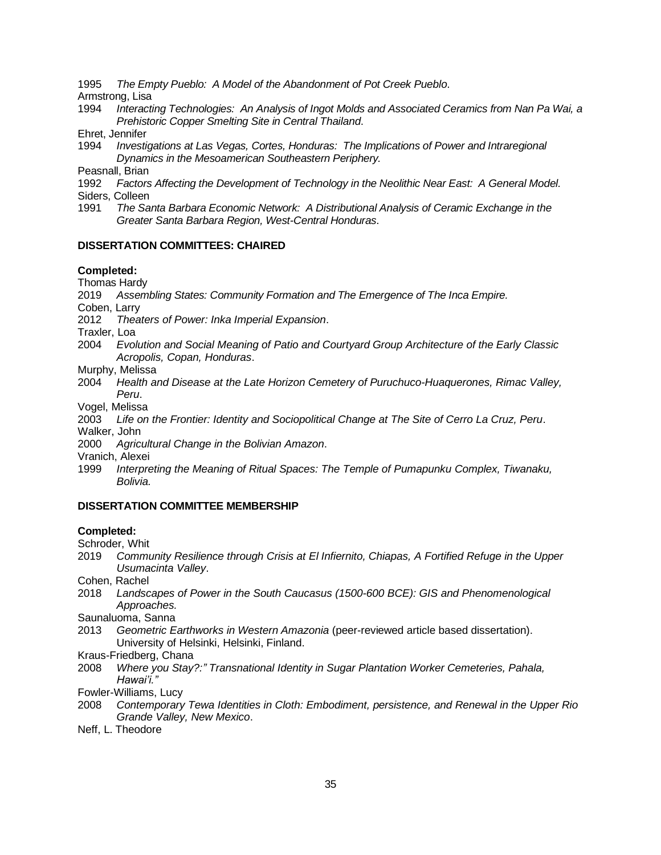1995 *The Empty Pueblo: A Model of the Abandonment of Pot Creek Pueblo*.

Armstrong, Lisa

- 1994 *Interacting Technologies: An Analysis of Ingot Molds and Associated Ceramics from Nan Pa Wai, a Prehistoric Copper Smelting Site in Central Thailand*.
- Ehret, Jennifer
- 1994 *Investigations at Las Vegas, Cortes, Honduras: The Implications of Power and Intraregional Dynamics in the Mesoamerican Southeastern Periphery.*

Peasnall, Brian

1992 *Factors Affecting the Development of Technology in the Neolithic Near East: A General Model.* Siders, Colleen

1991 *The Santa Barbara Economic Network: A Distributional Analysis of Ceramic Exchange in the Greater Santa Barbara Region, West-Central Honduras*.

## **DISSERTATION COMMITTEES: CHAIRED**

## **Completed:**

Thomas Hardy

2019 *Assembling States: Community Formation and The Emergence of The Inca Empire.*

Coben, Larry

2012 *Theaters of Power: Inka Imperial Expansion*.

Traxler, Loa

- 2004 *Evolution and Social Meaning of Patio and Courtyard Group Architecture of the Early Classic Acropolis, Copan, Honduras*.
- Murphy, Melissa
- 2004 *Health and Disease at the Late Horizon Cemetery of Puruchuco-Huaquerones, Rimac Valley, Peru*.

Vogel, Melissa

- 2003 *Life on the Frontier: Identity and Sociopolitical Change at The Site of Cerro La Cruz, Peru*. Walker, John
- 2000 *Agricultural Change in the Bolivian Amazon*.

Vranich, Alexei

1999 *Interpreting the Meaning of Ritual Spaces: The Temple of Pumapunku Complex, Tiwanaku, Bolivia.*

## **DISSERTATION COMMITTEE MEMBERSHIP**

## **Completed:**

Schroder, Whit

- 2019 *Community Resilience through Crisis at El Infiernito, Chiapas, A Fortified Refuge in the Upper Usumacinta Valley*.
- Cohen, Rachel
- 2018 *Landscapes of Power in the South Caucasus (1500-600 BCE): GIS and Phenomenological Approaches.*

Saunaluoma, Sanna

- 2013 *Geometric Earthworks in Western Amazonia* (peer-reviewed article based dissertation). University of Helsinki, Helsinki, Finland.
- Kraus-Friedberg, Chana
- 2008 *Where you Stay?:" Transnational Identity in Sugar Plantation Worker Cemeteries, Pahala, Hawai'i."*
- Fowler-Williams, Lucy
- 2008 *Contemporary Tewa Identities in Cloth: Embodiment, persistence, and Renewal in the Upper Rio Grande Valley, New Mexico*.
- Neff, L. Theodore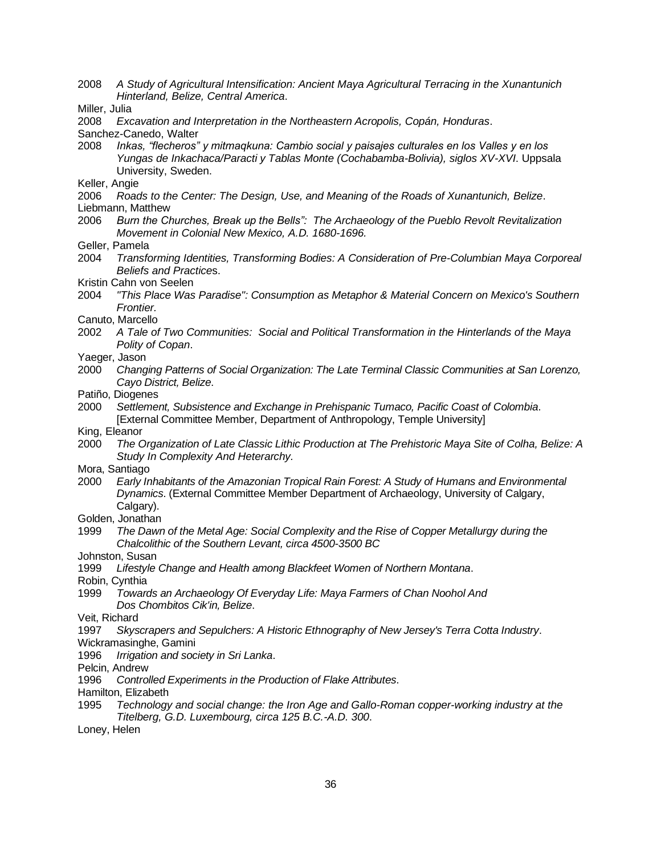- 2008 *A Study of Agricultural Intensification: Ancient Maya Agricultural Terracing in the Xunantunich Hinterland, Belize, Central America*.
- Miller, Julia
- 2008 *Excavation and Interpretation in the Northeastern Acropolis, Copán, Honduras*.
- Sanchez-Canedo, Walter
- 2008 *Inkas, "flecheros" y mitmaqkuna: Cambio social y paisajes culturales en los Valles y en los Yungas de Inkachaca/Paracti y Tablas Monte (Cochabamba-Bolivia), siglos XV-XVI*. Uppsala University, Sweden.
- Keller, Angie
- 2006 *Roads to the Center: The Design, Use, and Meaning of the Roads of Xunantunich, Belize*.
- Liebmann, Matthew
- 2006 *Burn the Churches, Break up the Bells": The Archaeology of the Pueblo Revolt Revitalization Movement in Colonial New Mexico, A.D. 1680-1696.*
- Geller, Pamela
- 2004 *Transforming Identities, Transforming Bodies: A Consideration of Pre-Columbian Maya Corporeal Beliefs and Practice*s.
- Kristin Cahn von Seelen
- 2004 *"This Place Was Paradise": Consumption as Metaphor & Material Concern on Mexico's Southern Frontier.*
- Canuto, Marcello
- 2002 *A Tale of Two Communities: Social and Political Transformation in the Hinterlands of the Maya Polity of Copan*.
- Yaeger, Jason
- 2000 *Changing Patterns of Social Organization: The Late Terminal Classic Communities at San Lorenzo, Cayo District, Belize*.
- Patiño, Diogenes
- 2000 *Settlement, Subsistence and Exchange in Prehispanic Tumaco, Pacific Coast of Colombia*. [External Committee Member, Department of Anthropology, Temple University]
- King, Eleanor
- 2000 *The Organization of Late Classic Lithic Production at The Prehistoric Maya Site of Colha, Belize: A Study In Complexity And Heterarchy.*
- Mora, Santiago
- 2000 *Early Inhabitants of the Amazonian Tropical Rain Forest: A Study of Humans and Environmental Dynamics*. (External Committee Member Department of Archaeology, University of Calgary, Calgary).
- Golden, Jonathan
- 1999 *The Dawn of the Metal Age: Social Complexity and the Rise of Copper Metallurgy during the Chalcolithic of the Southern Levant, circa 4500-3500 BC*
- Johnston, Susan
- 1999 *Lifestyle Change and Health among Blackfeet Women of Northern Montana*.
- Robin, Cynthia
- 1999 *Towards an Archaeology Of Everyday Life: Maya Farmers of Chan Noohol And Dos Chombitos Cik'in, Belize*.
- Veit, Richard
- 1997 *Skyscrapers and Sepulchers: A Historic Ethnography of New Jersey's Terra Cotta Industry*.
- Wickramasinghe, Gamini
- 1996 *Irrigation and society in Sri Lanka*.
- Pelcin, Andrew
- 1996 *Controlled Experiments in the Production of Flake Attributes*.
- Hamilton, Elizabeth
- 1995 *Technology and social change: the Iron Age and Gallo-Roman copper-working industry at the Titelberg, G.D. Luxembourg, circa 125 B.C.-A.D. 300*.
- Loney, Helen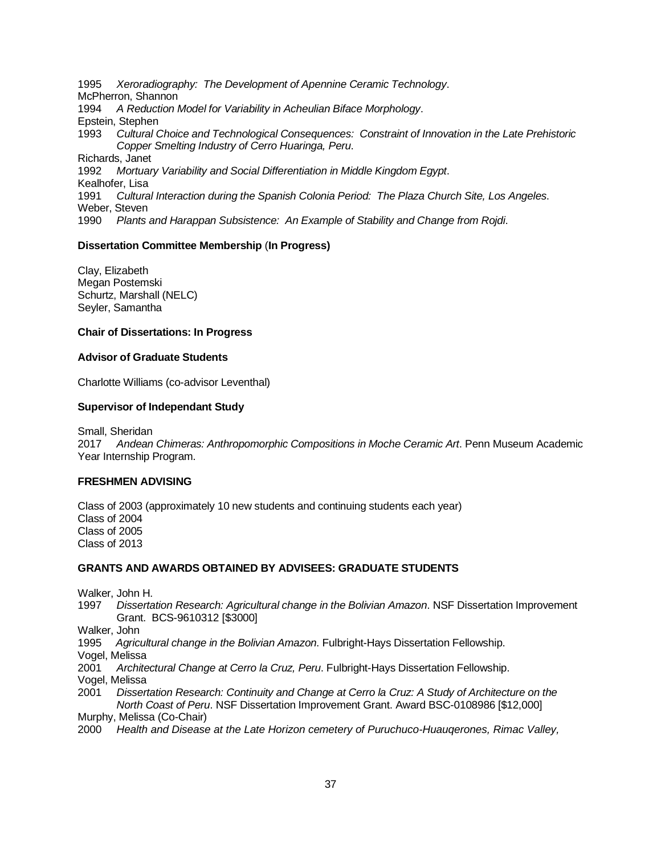1995 *Xeroradiography: The Development of Apennine Ceramic Technology*. McPherron, Shannon 1994 *A Reduction Model for Variability in Acheulian Biface Morphology*. Epstein, Stephen 1993 *Cultural Choice and Technological Consequences: Constraint of Innovation in the Late Prehistoric Copper Smelting Industry of Cerro Huaringa, Peru*. Richards, Janet 1992 *Mortuary Variability and Social Differentiation in Middle Kingdom Egypt*. Kealhofer, Lisa 1991 *Cultural Interaction during the Spanish Colonia Period: The Plaza Church Site, Los Angeles*. Weber, Steven 1990 *Plants and Harappan Subsistence: An Example of Stability and Change from Rojdi*.

### **Dissertation Committee Membership** (**In Progress)**

Clay, Elizabeth Megan Postemski Schurtz, Marshall (NELC) Seyler, Samantha

#### **Chair of Dissertations: In Progress**

#### **Advisor of Graduate Students**

Charlotte Williams (co-advisor Leventhal)

#### **Supervisor of Independant Study**

Small, Sheridan 2017 *Andean Chimeras: Anthropomorphic Compositions in Moche Ceramic Art*. Penn Museum Academic Year Internship Program.

#### **FRESHMEN ADVISING**

Class of 2003 (approximately 10 new students and continuing students each year) Class of 2004 Class of 2005 Class of 2013

#### **GRANTS AND AWARDS OBTAINED BY ADVISEES: GRADUATE STUDENTS**

Walker, John H.

1997 *Dissertation Research: Agricultural change in the Bolivian Amazon*. NSF Dissertation Improvement Grant. BCS-9610312 [\$3000]

Walker, John

1995 *Agricultural change in the Bolivian Amazon*. Fulbright-Hays Dissertation Fellowship.

Vogel, Melissa

2001 *Architectural Change at Cerro la Cruz, Peru*. Fulbright-Hays Dissertation Fellowship. Vogel, Melissa

2001 *Dissertation Research: Continuity and Change at Cerro la Cruz: A Study of Architecture on the North Coast of Peru*. NSF Dissertation Improvement Grant. Award BSC-0108986 [\$12,000] Murphy, Melissa (Co-Chair)

2000 *Health and Disease at the Late Horizon cemetery of Puruchuco-Huauqerones, Rimac Valley,*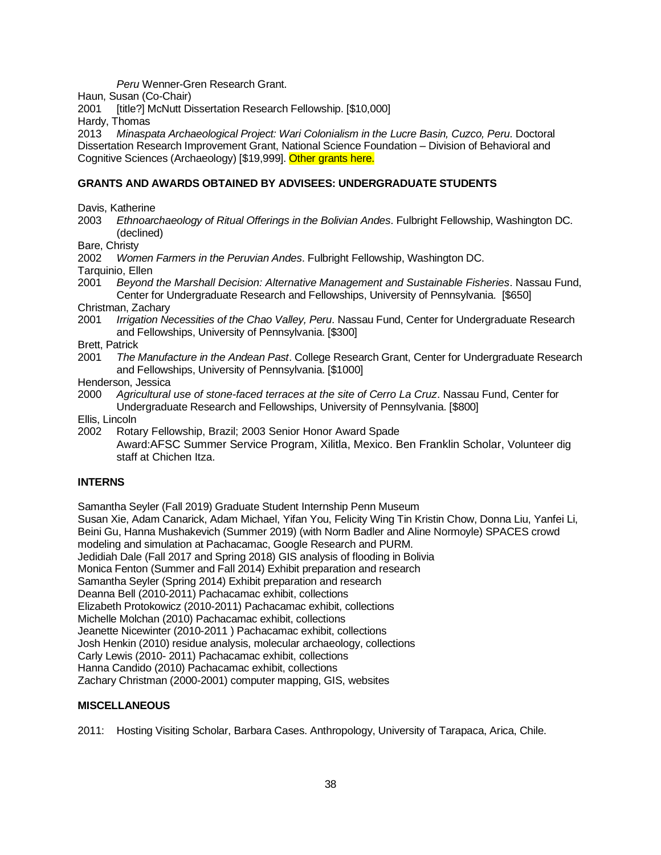*Peru* Wenner-Gren Research Grant.

Haun, Susan (Co-Chair)

2001 [title?] McNutt Dissertation Research Fellowship. [\$10,000]

Hardy, Thomas

2013 *Minaspata Archaeological Project: Wari Colonialism in the Lucre Basin, Cuzco, Peru*. Doctoral Dissertation Research Improvement Grant, National Science Foundation – Division of Behavioral and Cognitive Sciences (Archaeology) [\$19,999]. Other grants here.

## **GRANTS AND AWARDS OBTAINED BY ADVISEES: UNDERGRADUATE STUDENTS**

Davis, Katherine

2003 *Ethnoarchaeology of Ritual Offerings in the Bolivian Andes*. Fulbright Fellowship, Washington DC. (declined)

Bare, Christy

2002 *Women Farmers in the Peruvian Andes*. Fulbright Fellowship, Washington DC.

Tarquinio, Ellen

2001 *Beyond the Marshall Decision: Alternative Management and Sustainable Fisheries*. Nassau Fund, Center for Undergraduate Research and Fellowships, University of Pennsylvania. [\$650]

Christman, Zachary

2001 *Irrigation Necessities of the Chao Valley, Peru*. Nassau Fund, Center for Undergraduate Research and Fellowships, University of Pennsylvania. [\$300]

Brett, Patrick

2001 *The Manufacture in the Andean Past*. College Research Grant, Center for Undergraduate Research and Fellowships, University of Pennsylvania. [\$1000]

Henderson, Jessica

2000 *Agricultural use of stone-faced terraces at the site of Cerro La Cruz*. Nassau Fund, Center for Undergraduate Research and Fellowships, University of Pennsylvania. [\$800]

Ellis, Lincoln

2002 Rotary Fellowship, Brazil; 2003 Senior Honor Award Spade Award:AFSC Summer Service Program, Xilitla, Mexico. Ben Franklin Scholar, Volunteer dig staff at Chichen Itza.

## **INTERNS**

Samantha Seyler (Fall 2019) Graduate Student Internship Penn Museum

Susan Xie, Adam Canarick, Adam Michael, Yifan You, Felicity Wing Tin Kristin Chow, Donna Liu, Yanfei Li, Beini Gu, Hanna Mushakevich (Summer 2019) (with Norm Badler and Aline Normoyle) SPACES crowd modeling and simulation at Pachacamac, Google Research and PURM. Jedidiah Dale (Fall 2017 and Spring 2018) GIS analysis of flooding in Bolivia Monica Fenton (Summer and Fall 2014) Exhibit preparation and research Samantha Seyler (Spring 2014) Exhibit preparation and research Deanna Bell (2010-2011) Pachacamac exhibit, collections Elizabeth Protokowicz (2010-2011) Pachacamac exhibit, collections Michelle Molchan (2010) Pachacamac exhibit, collections Jeanette Nicewinter (2010-2011 ) Pachacamac exhibit, collections Josh Henkin (2010) residue analysis, molecular archaeology, collections Carly Lewis (2010- 2011) Pachacamac exhibit, collections Hanna Candido (2010) Pachacamac exhibit, collections Zachary Christman (2000-2001) computer mapping, GIS, websites

## **MISCELLANEOUS**

2011: Hosting Visiting Scholar, Barbara Cases. Anthropology, University of Tarapaca, Arica, Chile.